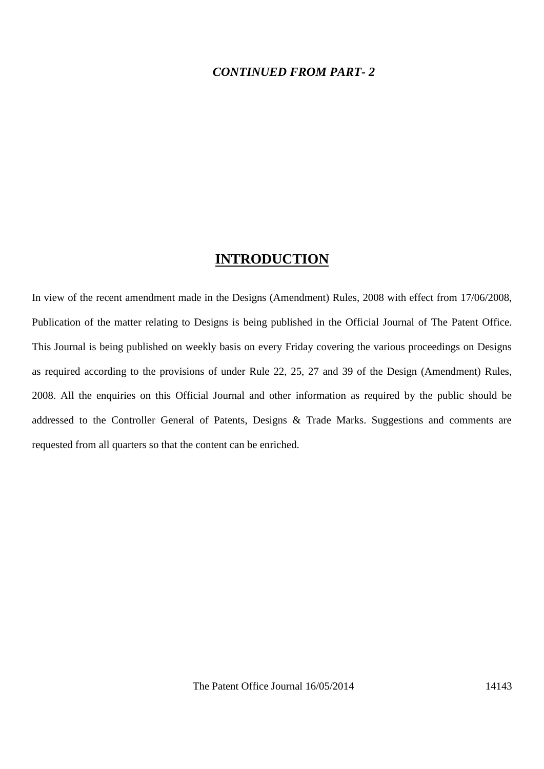## *CONTINUED FROM PART- 2*

## **INTRODUCTION**

In view of the recent amendment made in the Designs (Amendment) Rules, 2008 with effect from 17/06/2008, Publication of the matter relating to Designs is being published in the Official Journal of The Patent Office. This Journal is being published on weekly basis on every Friday covering the various proceedings on Designs as required according to the provisions of under Rule 22, 25, 27 and 39 of the Design (Amendment) Rules, 2008. All the enquiries on this Official Journal and other information as required by the public should be addressed to the Controller General of Patents, Designs & Trade Marks. Suggestions and comments are requested from all quarters so that the content can be enriched.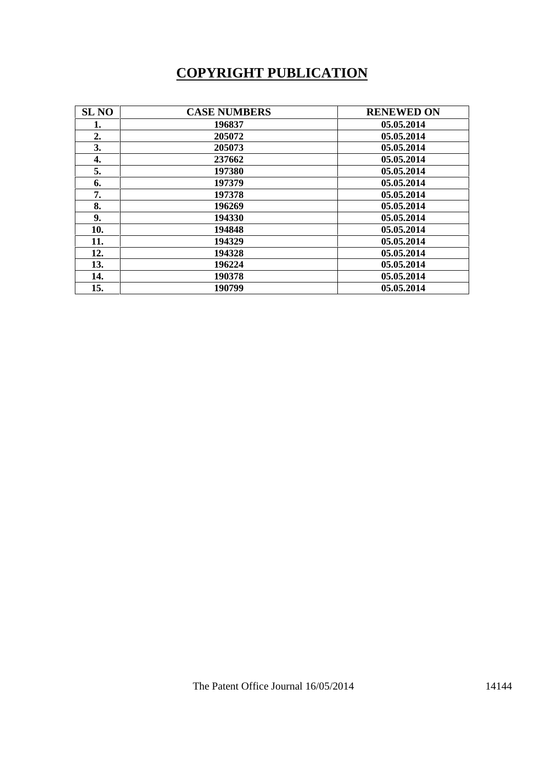## **COPYRIGHT PUBLICATION**

| <b>SL NO</b> | <b>CASE NUMBERS</b> | <b>RENEWED ON</b> |
|--------------|---------------------|-------------------|
| 1.           | 196837              | 05.05.2014        |
| 2.           | 205072              | 05.05.2014        |
| 3.           | 205073              | 05.05.2014        |
| 4.           | 237662              | 05.05.2014        |
| 5.           | 197380              | 05.05.2014        |
| 6.           | 197379              | 05.05.2014        |
| 7.           | 197378              | 05.05.2014        |
| 8.           | 196269              | 05.05.2014        |
| 9.           | 194330              | 05.05.2014        |
| 10.          | 194848              | 05.05.2014        |
| 11.          | 194329              | 05.05.2014        |
| 12.          | 194328              | 05.05.2014        |
| 13.          | 196224              | 05.05.2014        |
| 14.          | 190378              | 05.05.2014        |
| 15.          | 190799              | 05.05.2014        |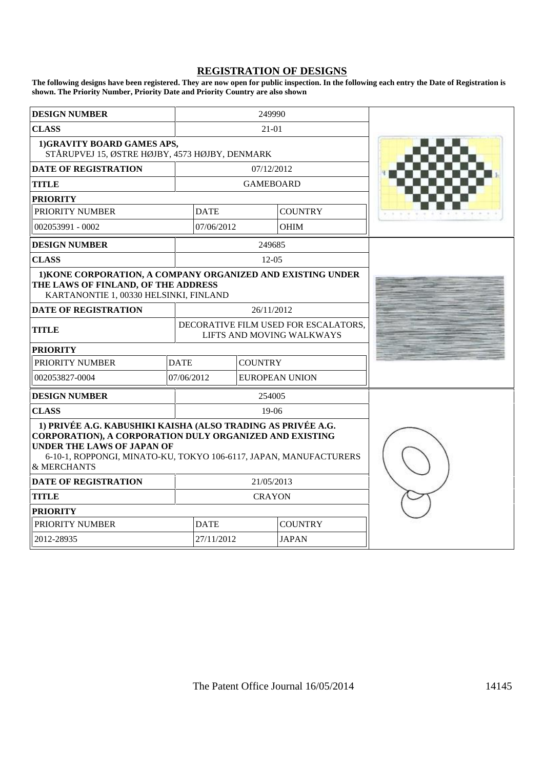## **REGISTRATION OF DESIGNS**

**The following designs have been registered. They are now open for public inspection. In the following each entry the Date of Registration is shown. The Priority Number, Priority Date and Priority Country are also shown**

| <b>DESIGN NUMBER</b>                                                                                                                                                                                                                      | 249990      |                  |                                                                   |  |
|-------------------------------------------------------------------------------------------------------------------------------------------------------------------------------------------------------------------------------------------|-------------|------------------|-------------------------------------------------------------------|--|
| <b>CLASS</b>                                                                                                                                                                                                                              | $21-01$     |                  |                                                                   |  |
| 1) GRAVITY BOARD GAMES APS,<br>STÅRUPVEJ 15, ØSTRE HØJBY, 4573 HØJBY, DENMARK                                                                                                                                                             |             |                  |                                                                   |  |
| <b>DATE OF REGISTRATION</b>                                                                                                                                                                                                               |             | 07/12/2012       |                                                                   |  |
| <b>TITLE</b>                                                                                                                                                                                                                              |             | <b>GAMEBOARD</b> |                                                                   |  |
| <b>PRIORITY</b>                                                                                                                                                                                                                           |             |                  |                                                                   |  |
| PRIORITY NUMBER                                                                                                                                                                                                                           | <b>DATE</b> |                  | <b>COUNTRY</b>                                                    |  |
| 002053991 - 0002                                                                                                                                                                                                                          | 07/06/2012  |                  | <b>OHIM</b>                                                       |  |
| <b>DESIGN NUMBER</b>                                                                                                                                                                                                                      |             | 249685           |                                                                   |  |
| <b>CLASS</b>                                                                                                                                                                                                                              |             | $12 - 05$        |                                                                   |  |
| 1) KONE CORPORATION, A COMPANY ORGANIZED AND EXISTING UNDER<br>THE LAWS OF FINLAND, OF THE ADDRESS<br>KARTANONTIE 1, 00330 HELSINKI, FINLAND                                                                                              |             |                  |                                                                   |  |
| <b>DATE OF REGISTRATION</b>                                                                                                                                                                                                               |             | 26/11/2012       |                                                                   |  |
| <b>TITLE</b>                                                                                                                                                                                                                              |             |                  | DECORATIVE FILM USED FOR ESCALATORS,<br>LIFTS AND MOVING WALKWAYS |  |
| <b>PRIORITY</b>                                                                                                                                                                                                                           |             |                  |                                                                   |  |
| PRIORITY NUMBER                                                                                                                                                                                                                           | <b>DATE</b> | <b>COUNTRY</b>   |                                                                   |  |
| 002053827-0004                                                                                                                                                                                                                            | 07/06/2012  |                  | EUROPEAN UNION                                                    |  |
| <b>DESIGN NUMBER</b>                                                                                                                                                                                                                      |             | 254005           |                                                                   |  |
| <b>CLASS</b>                                                                                                                                                                                                                              |             | $19-06$          |                                                                   |  |
| 1) PRIVÉE A.G. KABUSHIKI KAISHA (ALSO TRADING AS PRIVÉE A.G.<br>CORPORATION), A CORPORATION DULY ORGANIZED AND EXISTING<br>UNDER THE LAWS OF JAPAN OF<br>6-10-1, ROPPONGI, MINATO-KU, TOKYO 106-6117, JAPAN, MANUFACTURERS<br>& MERCHANTS |             |                  |                                                                   |  |
| <b>DATE OF REGISTRATION</b>                                                                                                                                                                                                               |             | 21/05/2013       |                                                                   |  |
| <b>TITLE</b>                                                                                                                                                                                                                              |             | <b>CRAYON</b>    |                                                                   |  |
| <b>PRIORITY</b>                                                                                                                                                                                                                           |             |                  |                                                                   |  |
| PRIORITY NUMBER                                                                                                                                                                                                                           | <b>DATE</b> |                  | <b>COUNTRY</b>                                                    |  |
| 2012-28935                                                                                                                                                                                                                                | 27/11/2012  |                  | <b>JAPAN</b>                                                      |  |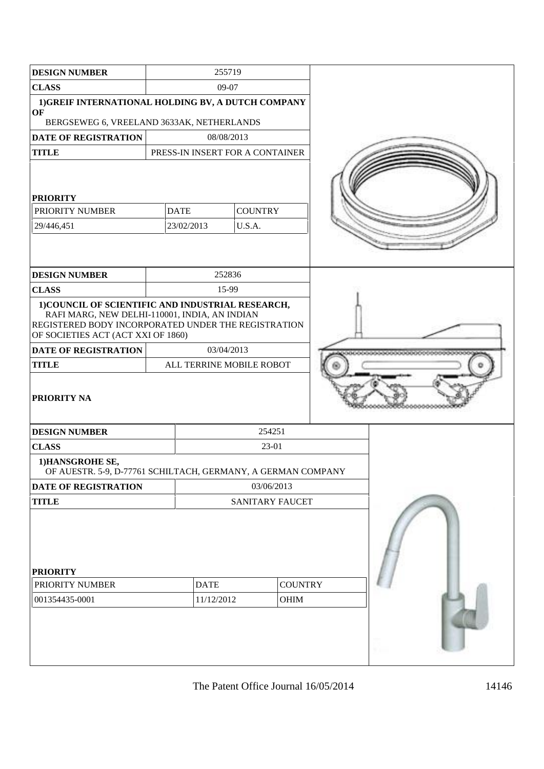| <b>DESIGN NUMBER</b>                                                                                                                                                                            | 255719                   |                           |                                 |                        |  |
|-------------------------------------------------------------------------------------------------------------------------------------------------------------------------------------------------|--------------------------|---------------------------|---------------------------------|------------------------|--|
| <b>CLASS</b>                                                                                                                                                                                    | 09-07                    |                           |                                 |                        |  |
| 1) GREIF INTERNATIONAL HOLDING BV, A DUTCH COMPANY<br>OF                                                                                                                                        |                          |                           |                                 |                        |  |
| BERGSEWEG 6, VREELAND 3633AK, NETHERLANDS                                                                                                                                                       |                          |                           |                                 |                        |  |
| <b>DATE OF REGISTRATION</b>                                                                                                                                                                     |                          |                           | 08/08/2013                      |                        |  |
| <b>TITLE</b>                                                                                                                                                                                    |                          |                           | PRESS-IN INSERT FOR A CONTAINER |                        |  |
| <b>PRIORITY</b>                                                                                                                                                                                 |                          |                           |                                 |                        |  |
| PRIORITY NUMBER                                                                                                                                                                                 |                          | <b>DATE</b>               | <b>COUNTRY</b>                  |                        |  |
| 29/446,451                                                                                                                                                                                      |                          | 23/02/2013                | U.S.A.                          |                        |  |
|                                                                                                                                                                                                 |                          |                           |                                 |                        |  |
| <b>DESIGN NUMBER</b>                                                                                                                                                                            |                          |                           | 252836                          |                        |  |
| <b>CLASS</b>                                                                                                                                                                                    |                          |                           | 15-99                           |                        |  |
| 1) COUNCIL OF SCIENTIFIC AND INDUSTRIAL RESEARCH,<br>RAFI MARG, NEW DELHI-110001, INDIA, AN INDIAN<br>REGISTERED BODY INCORPORATED UNDER THE REGISTRATION<br>OF SOCIETIES ACT (ACT XXI OF 1860) |                          |                           |                                 |                        |  |
| <b>DATE OF REGISTRATION</b>                                                                                                                                                                     |                          |                           | 03/04/2013                      |                        |  |
| <b>TITLE</b>                                                                                                                                                                                    | ALL TERRINE MOBILE ROBOT |                           |                                 |                        |  |
| <b>PRIORITY NA</b>                                                                                                                                                                              |                          |                           |                                 |                        |  |
| <b>DESIGN NUMBER</b>                                                                                                                                                                            |                          |                           | 254251                          |                        |  |
| <b>CLASS</b>                                                                                                                                                                                    |                          |                           | 23-01                           |                        |  |
| 1) HANSGROHE SE,<br>OF AUESTR. 5-9, D-77761 SCHILTACH, GERMANY, A GERMAN COMPANY                                                                                                                |                          |                           |                                 |                        |  |
| DATE OF REGISTRATION                                                                                                                                                                            |                          |                           | 03/06/2013                      |                        |  |
| <b>TITLE</b>                                                                                                                                                                                    |                          |                           | SANITARY FAUCET                 |                        |  |
| <b>PRIORITY</b><br>PRIORITY NUMBER<br>001354435-0001                                                                                                                                            |                          | <b>DATE</b><br>11/12/2012 |                                 | <b>COUNTRY</b><br>OHIM |  |
|                                                                                                                                                                                                 |                          |                           |                                 |                        |  |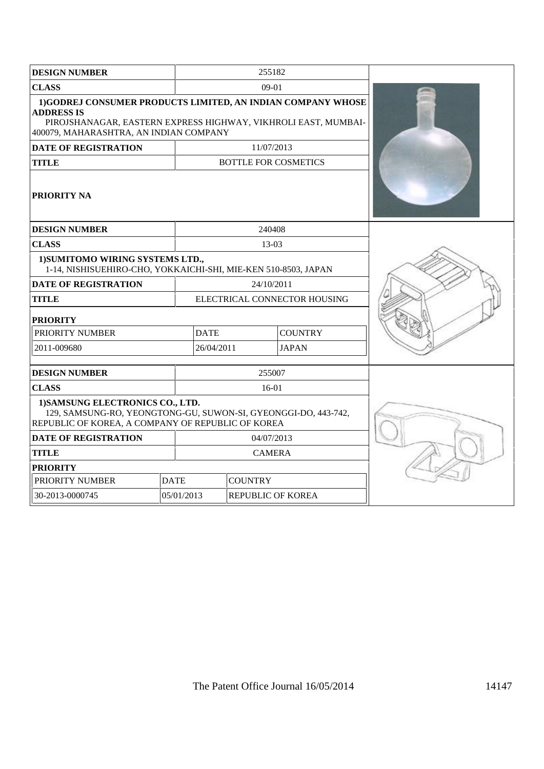| <b>DESIGN NUMBER</b>                                                                                                                                                                          |                   |                | 255182                       |  |
|-----------------------------------------------------------------------------------------------------------------------------------------------------------------------------------------------|-------------------|----------------|------------------------------|--|
| <b>CLASS</b><br>$09-01$                                                                                                                                                                       |                   |                |                              |  |
| 1) GODREJ CONSUMER PRODUCTS LIMITED, AN INDIAN COMPANY WHOSE<br><b>ADDRESS IS</b><br>PIROJSHANAGAR, EASTERN EXPRESS HIGHWAY, VIKHROLI EAST, MUMBAI-<br>400079, MAHARASHTRA, AN INDIAN COMPANY |                   |                |                              |  |
| <b>DATE OF REGISTRATION</b>                                                                                                                                                                   |                   | 11/07/2013     |                              |  |
| <b>TITLE</b>                                                                                                                                                                                  |                   |                | <b>BOTTLE FOR COSMETICS</b>  |  |
| PRIORITY NA                                                                                                                                                                                   |                   |                |                              |  |
| <b>DESIGN NUMBER</b>                                                                                                                                                                          |                   |                | 240408                       |  |
| <b>CLASS</b>                                                                                                                                                                                  |                   | 13-03          |                              |  |
| 1) SUMITOMO WIRING SYSTEMS LTD.,<br>1-14, NISHISUEHIRO-CHO, YOKKAICHI-SHI, MIE-KEN 510-8503, JAPAN                                                                                            |                   |                |                              |  |
| <b>DATE OF REGISTRATION</b>                                                                                                                                                                   |                   | 24/10/2011     |                              |  |
| <b>TITLE</b>                                                                                                                                                                                  |                   |                | ELECTRICAL CONNECTOR HOUSING |  |
| <b>PRIORITY</b>                                                                                                                                                                               |                   |                |                              |  |
| PRIORITY NUMBER                                                                                                                                                                               | <b>DATE</b>       |                | <b>COUNTRY</b>               |  |
| 2011-009680                                                                                                                                                                                   | 26/04/2011        |                | <b>JAPAN</b>                 |  |
| <b>DESIGN NUMBER</b>                                                                                                                                                                          |                   |                |                              |  |
| <b>CLASS</b>                                                                                                                                                                                  | 255007<br>$16-01$ |                |                              |  |
| 1) SAMSUNG ELECTRONICS CO., LTD.<br>129, SAMSUNG-RO, YEONGTONG-GU, SUWON-SI, GYEONGGI-DO, 443-742,<br>REPUBLIC OF KOREA, A COMPANY OF REPUBLIC OF KOREA                                       |                   |                |                              |  |
| <b>DATE OF REGISTRATION</b>                                                                                                                                                                   |                   | 04/07/2013     |                              |  |
| <b>TITLE</b>                                                                                                                                                                                  |                   | <b>CAMERA</b>  |                              |  |
| <b>PRIORITY</b>                                                                                                                                                                               |                   |                |                              |  |
| PRIORITY NUMBER                                                                                                                                                                               | <b>DATE</b>       | <b>COUNTRY</b> |                              |  |
| 30-2013-0000745                                                                                                                                                                               | 05/01/2013        |                | <b>REPUBLIC OF KOREA</b>     |  |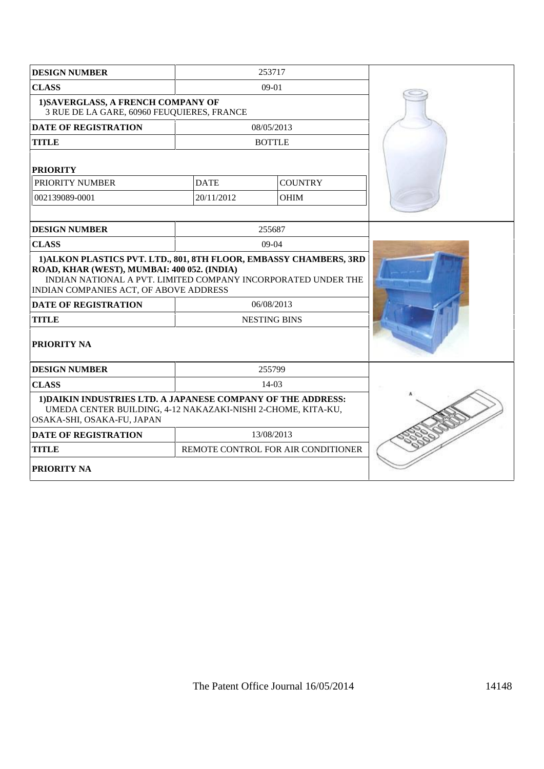| <b>DESIGN NUMBER</b>                                                                                                                                                                                                         |             | 253717                             |  |
|------------------------------------------------------------------------------------------------------------------------------------------------------------------------------------------------------------------------------|-------------|------------------------------------|--|
| <b>CLASS</b>                                                                                                                                                                                                                 |             |                                    |  |
| 1) SAVERGLASS, A FRENCH COMPANY OF<br>3 RUE DE LA GARE, 60960 FEUQUIERES, FRANCE                                                                                                                                             |             |                                    |  |
| <b>DATE OF REGISTRATION</b>                                                                                                                                                                                                  |             | 08/05/2013                         |  |
| <b>TITLE</b>                                                                                                                                                                                                                 |             | <b>BOTTLE</b>                      |  |
| <b>PRIORITY</b>                                                                                                                                                                                                              |             |                                    |  |
| PRIORITY NUMBER                                                                                                                                                                                                              | <b>DATE</b> | <b>COUNTRY</b>                     |  |
| 002139089-0001                                                                                                                                                                                                               | 20/11/2012  | <b>OHIM</b>                        |  |
|                                                                                                                                                                                                                              |             |                                    |  |
| <b>DESIGN NUMBER</b>                                                                                                                                                                                                         |             | 255687                             |  |
| <b>CLASS</b>                                                                                                                                                                                                                 |             | 09-04                              |  |
| 1) ALKON PLASTICS PVT. LTD., 801, 8TH FLOOR, EMBASSY CHAMBERS, 3RD<br>ROAD, KHAR (WEST), MUMBAI: 400 052. (INDIA)<br>INDIAN NATIONAL A PVT. LIMITED COMPANY INCORPORATED UNDER THE<br>INDIAN COMPANIES ACT, OF ABOVE ADDRESS |             |                                    |  |
| <b>DATE OF REGISTRATION</b>                                                                                                                                                                                                  |             | 06/08/2013                         |  |
| <b>TITLE</b>                                                                                                                                                                                                                 |             | <b>NESTING BINS</b>                |  |
| <b>PRIORITY NA</b>                                                                                                                                                                                                           |             |                                    |  |
| <b>DESIGN NUMBER</b>                                                                                                                                                                                                         |             | 255799                             |  |
| <b>CLASS</b>                                                                                                                                                                                                                 |             | $14-03$                            |  |
| 1) DAIKIN INDUSTRIES LTD. A JAPANESE COMPANY OF THE ADDRESS:<br>UMEDA CENTER BUILDING, 4-12 NAKAZAKI-NISHI 2-CHOME, KITA-KU,<br>OSAKA-SHI, OSAKA-FU, JAPAN                                                                   |             |                                    |  |
| <b>DATE OF REGISTRATION</b>                                                                                                                                                                                                  |             | 13/08/2013                         |  |
| <b>TITLE</b>                                                                                                                                                                                                                 |             | REMOTE CONTROL FOR AIR CONDITIONER |  |
| <b>PRIORITY NA</b>                                                                                                                                                                                                           |             |                                    |  |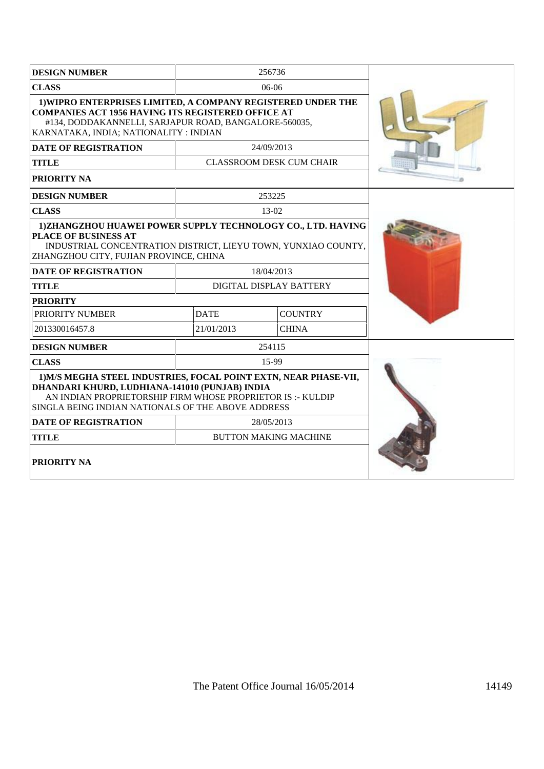| <b>DESIGN NUMBER</b>                                                                                                                                                                                                                   |             | 256736                          |  |  |  |
|----------------------------------------------------------------------------------------------------------------------------------------------------------------------------------------------------------------------------------------|-------------|---------------------------------|--|--|--|
| <b>CLASS</b>                                                                                                                                                                                                                           |             | $06-06$                         |  |  |  |
| 1) WIPRO ENTERPRISES LIMITED, A COMPANY REGISTERED UNDER THE<br><b>COMPANIES ACT 1956 HAVING ITS REGISTERED OFFICE AT</b><br>#134, DODDAKANNELLI, SARJAPUR ROAD, BANGALORE-560035,<br>KARNATAKA, INDIA; NATIONALITY : INDIAN           |             |                                 |  |  |  |
| <b>DATE OF REGISTRATION</b>                                                                                                                                                                                                            |             | 24/09/2013                      |  |  |  |
| <b>TITLE</b>                                                                                                                                                                                                                           |             | <b>CLASSROOM DESK CUM CHAIR</b> |  |  |  |
| PRIORITY NA                                                                                                                                                                                                                            |             |                                 |  |  |  |
| <b>DESIGN NUMBER</b>                                                                                                                                                                                                                   |             | 253225                          |  |  |  |
| <b>CLASS</b>                                                                                                                                                                                                                           |             | 13-02                           |  |  |  |
| 1) ZHANGZHOU HUAWEI POWER SUPPLY TECHNOLOGY CO., LTD. HAVING<br><b>PLACE OF BUSINESS AT</b><br>INDUSTRIAL CONCENTRATION DISTRICT, LIEYU TOWN, YUNXIAO COUNTY,<br>ZHANGZHOU CITY, FUJIAN PROVINCE, CHINA                                |             |                                 |  |  |  |
| <b>DATE OF REGISTRATION</b>                                                                                                                                                                                                            |             | 18/04/2013                      |  |  |  |
| <b>TITLE</b>                                                                                                                                                                                                                           |             | DIGITAL DISPLAY BATTERY         |  |  |  |
| <b>PRIORITY</b>                                                                                                                                                                                                                        |             |                                 |  |  |  |
| PRIORITY NUMBER                                                                                                                                                                                                                        | <b>DATE</b> | <b>COUNTRY</b>                  |  |  |  |
| 201330016457.8                                                                                                                                                                                                                         | 21/01/2013  | <b>CHINA</b>                    |  |  |  |
| <b>DESIGN NUMBER</b>                                                                                                                                                                                                                   |             | 254115                          |  |  |  |
| <b>CLASS</b>                                                                                                                                                                                                                           |             | 15-99                           |  |  |  |
| 1) M/S MEGHA STEEL INDUSTRIES, FOCAL POINT EXTN, NEAR PHASE-VII,<br>DHANDARI KHURD, LUDHIANA-141010 (PUNJAB) INDIA<br>AN INDIAN PROPRIETORSHIP FIRM WHOSE PROPRIETOR IS:- KULDIP<br>SINGLA BEING INDIAN NATIONALS OF THE ABOVE ADDRESS |             |                                 |  |  |  |
| <b>DATE OF REGISTRATION</b>                                                                                                                                                                                                            |             | 28/05/2013                      |  |  |  |
| <b>TITLE</b>                                                                                                                                                                                                                           |             | <b>BUTTON MAKING MACHINE</b>    |  |  |  |
| <b>PRIORITY NA</b>                                                                                                                                                                                                                     |             |                                 |  |  |  |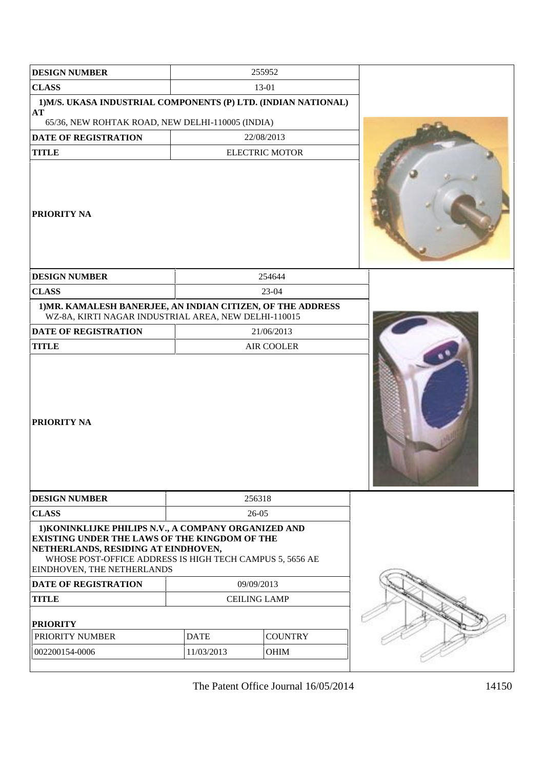| <b>DESIGN NUMBER</b>                                                                                                                                                                                                                          |                     | 255952                |  |
|-----------------------------------------------------------------------------------------------------------------------------------------------------------------------------------------------------------------------------------------------|---------------------|-----------------------|--|
| <b>CLASS</b>                                                                                                                                                                                                                                  |                     | 13-01                 |  |
| 1) M/S. UKASA INDUSTRIAL COMPONENTS (P) LTD. (INDIAN NATIONAL)<br>AT<br>65/36, NEW ROHTAK ROAD, NEW DELHI-110005 (INDIA)                                                                                                                      |                     |                       |  |
| <b>DATE OF REGISTRATION</b>                                                                                                                                                                                                                   |                     | 22/08/2013            |  |
| <b>TITLE</b>                                                                                                                                                                                                                                  |                     | <b>ELECTRIC MOTOR</b> |  |
| <b>PRIORITY NA</b>                                                                                                                                                                                                                            |                     |                       |  |
| <b>DESIGN NUMBER</b>                                                                                                                                                                                                                          |                     | 254644                |  |
| <b>CLASS</b>                                                                                                                                                                                                                                  |                     | 23-04                 |  |
| 1) MR. KAMALESH BANERJEE, AN INDIAN CITIZEN, OF THE ADDRESS<br>WZ-8A, KIRTI NAGAR INDUSTRIAL AREA, NEW DELHI-110015                                                                                                                           |                     |                       |  |
| <b>DATE OF REGISTRATION</b>                                                                                                                                                                                                                   |                     | 21/06/2013            |  |
| <b>TITLE</b>                                                                                                                                                                                                                                  |                     | AIR COOLER            |  |
| <b>PRIORITY NA</b>                                                                                                                                                                                                                            |                     |                       |  |
| <b>DESIGN NUMBER</b>                                                                                                                                                                                                                          |                     | 256318                |  |
| <b>CLASS</b>                                                                                                                                                                                                                                  |                     | 26-05                 |  |
| 1) KONINKLIJKE PHILIPS N.V., A COMPANY ORGANIZED AND<br><b>EXISTING UNDER THE LAWS OF THE KINGDOM OF THE</b><br>NETHERLANDS, RESIDING AT EINDHOVEN,<br>WHOSE POST-OFFICE ADDRESS IS HIGH TECH CAMPUS 5, 5656 AE<br>EINDHOVEN, THE NETHERLANDS |                     |                       |  |
| <b>DATE OF REGISTRATION</b>                                                                                                                                                                                                                   |                     | 09/09/2013            |  |
| <b>TITLE</b>                                                                                                                                                                                                                                  | <b>CEILING LAMP</b> |                       |  |
| <b>PRIORITY</b>                                                                                                                                                                                                                               |                     |                       |  |
| PRIORITY NUMBER                                                                                                                                                                                                                               | <b>DATE</b>         | <b>COUNTRY</b>        |  |
| 002200154-0006                                                                                                                                                                                                                                | 11/03/2013          | <b>OHIM</b>           |  |
|                                                                                                                                                                                                                                               |                     |                       |  |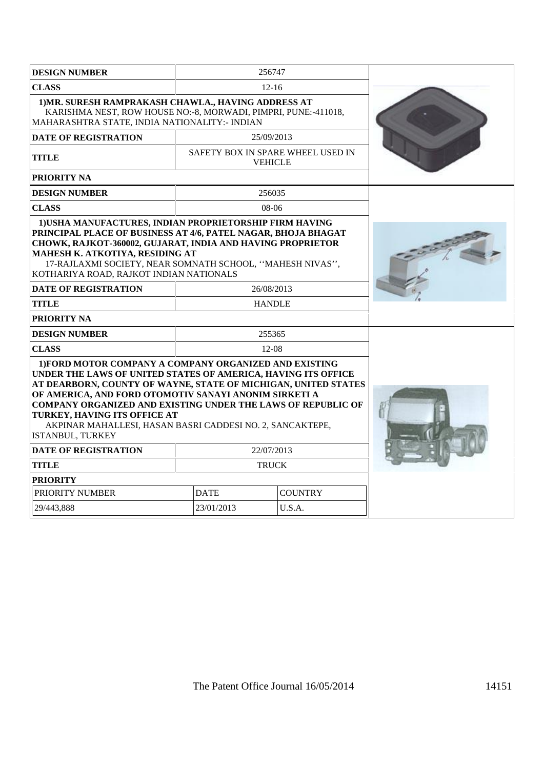| <b>DESIGN NUMBER</b>                                                                                                                                                                                                                                                                                                                                                                                                                       | 256747                                              |                |  |  |  |
|--------------------------------------------------------------------------------------------------------------------------------------------------------------------------------------------------------------------------------------------------------------------------------------------------------------------------------------------------------------------------------------------------------------------------------------------|-----------------------------------------------------|----------------|--|--|--|
| <b>CLASS</b>                                                                                                                                                                                                                                                                                                                                                                                                                               | $12 - 16$                                           |                |  |  |  |
| 1) MR. SURESH RAMPRAKASH CHAWLA., HAVING ADDRESS AT<br>KARISHMA NEST, ROW HOUSE NO:-8, MORWADI, PIMPRI, PUNE:-411018,<br>MAHARASHTRA STATE, INDIA NATIONALITY:- INDIAN                                                                                                                                                                                                                                                                     |                                                     |                |  |  |  |
| <b>DATE OF REGISTRATION</b>                                                                                                                                                                                                                                                                                                                                                                                                                | 25/09/2013                                          |                |  |  |  |
| <b>TITLE</b>                                                                                                                                                                                                                                                                                                                                                                                                                               | SAFETY BOX IN SPARE WHEEL USED IN<br><b>VEHICLE</b> |                |  |  |  |
| <b>PRIORITY NA</b>                                                                                                                                                                                                                                                                                                                                                                                                                         |                                                     |                |  |  |  |
| <b>DESIGN NUMBER</b>                                                                                                                                                                                                                                                                                                                                                                                                                       | 256035                                              |                |  |  |  |
| <b>CLASS</b>                                                                                                                                                                                                                                                                                                                                                                                                                               | $08-06$                                             |                |  |  |  |
| 1) USHA MANUFACTURES, INDIAN PROPRIETORSHIP FIRM HAVING<br>PRINCIPAL PLACE OF BUSINESS AT 4/6, PATEL NAGAR, BHOJA BHAGAT<br>CHOWK, RAJKOT-360002, GUJARAT, INDIA AND HAVING PROPRIETOR<br>MAHESH K. ATKOTIYA, RESIDING AT<br>17-RAJLAXMI SOCIETY, NEAR SOMNATH SCHOOL, "MAHESH NIVAS",<br>KOTHARIYA ROAD, RAJKOT INDIAN NATIONALS                                                                                                          |                                                     |                |  |  |  |
| <b>DATE OF REGISTRATION</b>                                                                                                                                                                                                                                                                                                                                                                                                                | 26/08/2013                                          |                |  |  |  |
| <b>TITLE</b>                                                                                                                                                                                                                                                                                                                                                                                                                               | <b>HANDLE</b>                                       |                |  |  |  |
| PRIORITY NA                                                                                                                                                                                                                                                                                                                                                                                                                                |                                                     |                |  |  |  |
| <b>DESIGN NUMBER</b>                                                                                                                                                                                                                                                                                                                                                                                                                       | 255365                                              |                |  |  |  |
| <b>CLASS</b>                                                                                                                                                                                                                                                                                                                                                                                                                               | $12 - 08$                                           |                |  |  |  |
| 1) FORD MOTOR COMPANY A COMPANY ORGANIZED AND EXISTING<br>UNDER THE LAWS OF UNITED STATES OF AMERICA, HAVING ITS OFFICE<br>AT DEARBORN, COUNTY OF WAYNE, STATE OF MICHIGAN, UNITED STATES<br>OF AMERICA, AND FORD OTOMOTIV SANAYI ANONIM SIRKETI A<br><b>COMPANY ORGANIZED AND EXISTING UNDER THE LAWS OF REPUBLIC OF</b><br>TURKEY, HAVING ITS OFFICE AT<br>AKPINAR MAHALLESI, HASAN BASRI CADDESI NO. 2, SANCAKTEPE,<br>ISTANBUL, TURKEY |                                                     |                |  |  |  |
| <b>DATE OF REGISTRATION</b>                                                                                                                                                                                                                                                                                                                                                                                                                | 22/07/2013                                          |                |  |  |  |
| <b>TITLE</b>                                                                                                                                                                                                                                                                                                                                                                                                                               | <b>TRUCK</b>                                        |                |  |  |  |
| <b>PRIORITY</b>                                                                                                                                                                                                                                                                                                                                                                                                                            |                                                     |                |  |  |  |
| PRIORITY NUMBER                                                                                                                                                                                                                                                                                                                                                                                                                            | <b>DATE</b>                                         | <b>COUNTRY</b> |  |  |  |
| 29/443.888                                                                                                                                                                                                                                                                                                                                                                                                                                 | 23/01/2013                                          |                |  |  |  |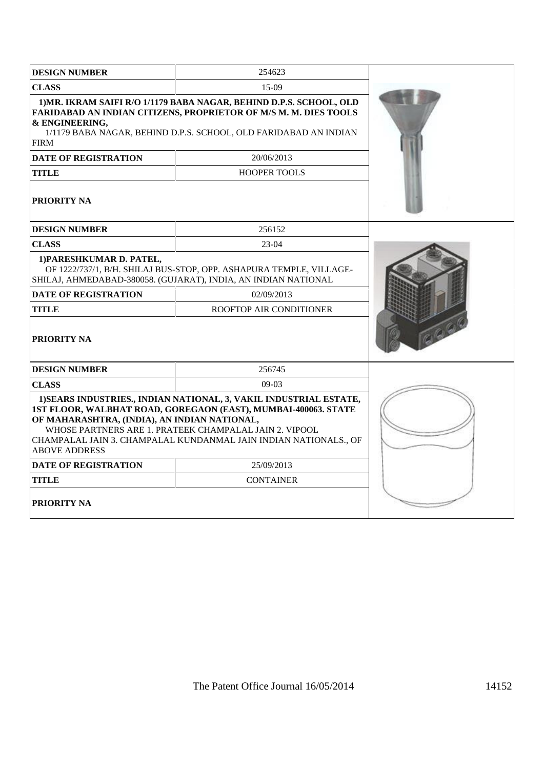| <b>DESIGN NUMBER</b>                                                                                                                                                                                                                                                                                                                       | 254623                                                                                                                                                                                                      |  |
|--------------------------------------------------------------------------------------------------------------------------------------------------------------------------------------------------------------------------------------------------------------------------------------------------------------------------------------------|-------------------------------------------------------------------------------------------------------------------------------------------------------------------------------------------------------------|--|
| <b>CLASS</b>                                                                                                                                                                                                                                                                                                                               |                                                                                                                                                                                                             |  |
| & ENGINEERING,<br><b>FIRM</b>                                                                                                                                                                                                                                                                                                              | 1) MR. IKRAM SAIFI R/O 1/1179 BABA NAGAR, BEHIND D.P.S. SCHOOL, OLD<br>FARIDABAD AN INDIAN CITIZENS, PROPRIETOR OF M/S M. M. DIES TOOLS<br>1/1179 BABA NAGAR, BEHIND D.P.S. SCHOOL, OLD FARIDABAD AN INDIAN |  |
| <b>DATE OF REGISTRATION</b>                                                                                                                                                                                                                                                                                                                | 20/06/2013                                                                                                                                                                                                  |  |
| <b>TITLE</b>                                                                                                                                                                                                                                                                                                                               | <b>HOOPER TOOLS</b>                                                                                                                                                                                         |  |
| PRIORITY NA                                                                                                                                                                                                                                                                                                                                |                                                                                                                                                                                                             |  |
| <b>DESIGN NUMBER</b>                                                                                                                                                                                                                                                                                                                       | 256152                                                                                                                                                                                                      |  |
| <b>CLASS</b>                                                                                                                                                                                                                                                                                                                               | 23-04                                                                                                                                                                                                       |  |
| 1) PARESHKUMAR D. PATEL,                                                                                                                                                                                                                                                                                                                   | OF 1222/737/1, B/H. SHILAJ BUS-STOP, OPP. ASHAPURA TEMPLE, VILLAGE-<br>SHILAJ, AHMEDABAD-380058. (GUJARAT), INDIA, AN INDIAN NATIONAL                                                                       |  |
| <b>DATE OF REGISTRATION</b>                                                                                                                                                                                                                                                                                                                | 02/09/2013                                                                                                                                                                                                  |  |
| <b>TITLE</b>                                                                                                                                                                                                                                                                                                                               | ROOFTOP AIR CONDITIONER                                                                                                                                                                                     |  |
| <b>PRIORITY NA</b>                                                                                                                                                                                                                                                                                                                         |                                                                                                                                                                                                             |  |
| <b>DESIGN NUMBER</b>                                                                                                                                                                                                                                                                                                                       | 256745                                                                                                                                                                                                      |  |
| <b>CLASS</b>                                                                                                                                                                                                                                                                                                                               | $09-03$                                                                                                                                                                                                     |  |
| 1) SEARS INDUSTRIES., INDIAN NATIONAL, 3, VAKIL INDUSTRIAL ESTATE,<br>1ST FLOOR, WALBHAT ROAD, GOREGAON (EAST), MUMBAI-400063. STATE<br>OF MAHARASHTRA, (INDIA), AN INDIAN NATIONAL,<br>WHOSE PARTNERS ARE 1. PRATEEK CHAMPALAL JAIN 2. VIPOOL<br>CHAMPALAL JAIN 3. CHAMPALAL KUNDANMAL JAIN INDIAN NATIONALS., OF<br><b>ABOVE ADDRESS</b> |                                                                                                                                                                                                             |  |
| <b>DATE OF REGISTRATION</b>                                                                                                                                                                                                                                                                                                                | 25/09/2013                                                                                                                                                                                                  |  |
| <b>TITLE</b>                                                                                                                                                                                                                                                                                                                               | <b>CONTAINER</b>                                                                                                                                                                                            |  |
| <b>PRIORITY NA</b>                                                                                                                                                                                                                                                                                                                         |                                                                                                                                                                                                             |  |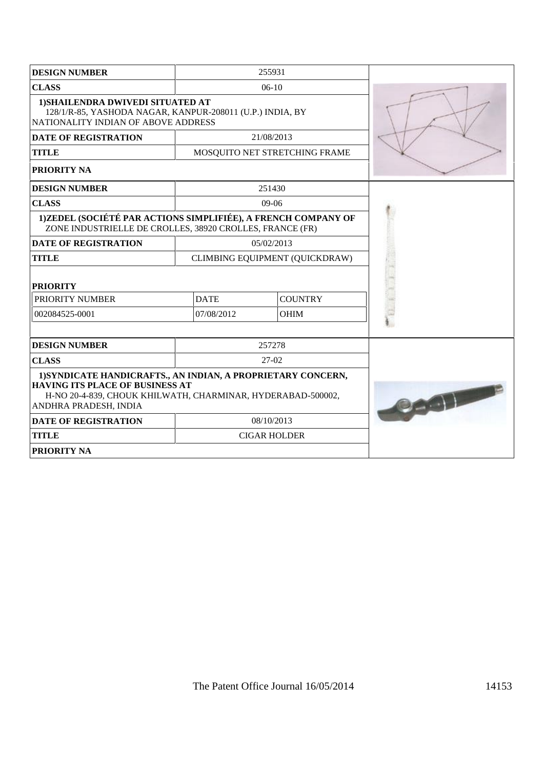| <b>DESIGN NUMBER</b>                                                                                                                                                                           | 255931      |                                |  |
|------------------------------------------------------------------------------------------------------------------------------------------------------------------------------------------------|-------------|--------------------------------|--|
| <b>CLASS</b>                                                                                                                                                                                   |             | $06-10$                        |  |
| 1) SHAILENDRA DWIVEDI SITUATED AT<br>128/1/R-85, YASHODA NAGAR, KANPUR-208011 (U.P.) INDIA, BY<br>NATIONALITY INDIAN OF ABOVE ADDRESS                                                          |             |                                |  |
| <b>DATE OF REGISTRATION</b>                                                                                                                                                                    |             | 21/08/2013                     |  |
| <b>TITLE</b>                                                                                                                                                                                   |             | MOSQUITO NET STRETCHING FRAME  |  |
| PRIORITY NA                                                                                                                                                                                    |             |                                |  |
| <b>DESIGN NUMBER</b>                                                                                                                                                                           |             | 251430                         |  |
| <b>CLASS</b>                                                                                                                                                                                   |             | $09-06$                        |  |
| 1)ZEDEL (SOCIÉTÉ PAR ACTIONS SIMPLIFIÉE), A FRENCH COMPANY OF<br>ZONE INDUSTRIELLE DE CROLLES, 38920 CROLLES, FRANCE (FR)                                                                      |             |                                |  |
| <b>DATE OF REGISTRATION</b>                                                                                                                                                                    |             | 05/02/2013                     |  |
| <b>TITLE</b>                                                                                                                                                                                   |             | CLIMBING EQUIPMENT (QUICKDRAW) |  |
| <b>PRIORITY</b>                                                                                                                                                                                |             |                                |  |
| PRIORITY NUMBER                                                                                                                                                                                | <b>DATE</b> | <b>COUNTRY</b>                 |  |
| 002084525-0001                                                                                                                                                                                 | 07/08/2012  | <b>OHIM</b>                    |  |
|                                                                                                                                                                                                |             |                                |  |
| <b>DESIGN NUMBER</b>                                                                                                                                                                           |             | 257278                         |  |
| <b>CLASS</b>                                                                                                                                                                                   |             | 27-02                          |  |
| 1) SYNDICATE HANDICRAFTS., AN INDIAN, A PROPRIETARY CONCERN,<br><b>HAVING ITS PLACE OF BUSINESS AT</b><br>H-NO 20-4-839, CHOUK KHILWATH, CHARMINAR, HYDERABAD-500002,<br>ANDHRA PRADESH, INDIA | Contractor  |                                |  |
| <b>DATE OF REGISTRATION</b><br>08/10/2013                                                                                                                                                      |             |                                |  |
| <b>TITLE</b>                                                                                                                                                                                   |             | <b>CIGAR HOLDER</b>            |  |
| <b>PRIORITY NA</b>                                                                                                                                                                             |             |                                |  |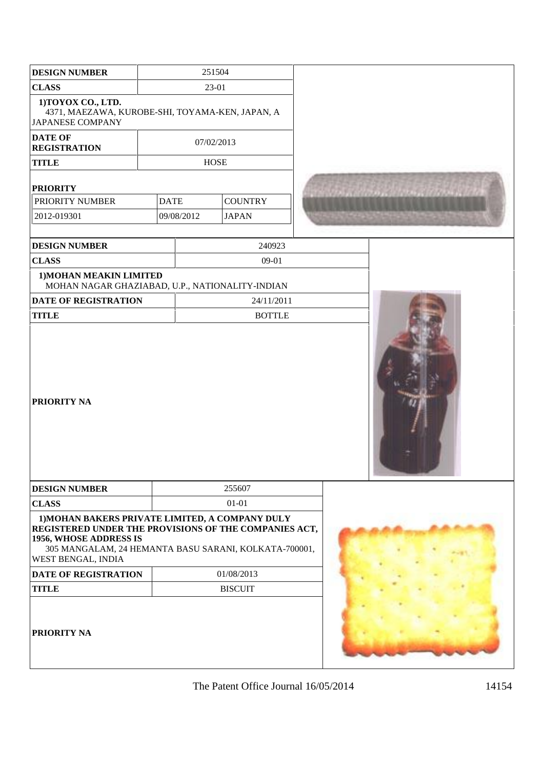| <b>DESIGN NUMBER</b>                                                                                                                                                                                              | 251504      |                |  |  |
|-------------------------------------------------------------------------------------------------------------------------------------------------------------------------------------------------------------------|-------------|----------------|--|--|
| <b>CLASS</b>                                                                                                                                                                                                      | 23-01       |                |  |  |
| 1) TOYOX CO., LTD.<br>4371, MAEZAWA, KUROBE-SHI, TOYAMA-KEN, JAPAN, A<br><b>JAPANESE COMPANY</b>                                                                                                                  |             |                |  |  |
| <b>DATE OF</b><br><b>REGISTRATION</b>                                                                                                                                                                             |             | 07/02/2013     |  |  |
| <b>TITLE</b>                                                                                                                                                                                                      |             | <b>HOSE</b>    |  |  |
| <b>PRIORITY</b>                                                                                                                                                                                                   |             |                |  |  |
| PRIORITY NUMBER                                                                                                                                                                                                   | <b>DATE</b> | <b>COUNTRY</b> |  |  |
| 2012-019301                                                                                                                                                                                                       | 09/08/2012  | <b>JAPAN</b>   |  |  |
|                                                                                                                                                                                                                   |             |                |  |  |
| <b>DESIGN NUMBER</b>                                                                                                                                                                                              |             | 240923         |  |  |
| <b>CLASS</b>                                                                                                                                                                                                      |             | 09-01          |  |  |
| 1) MOHAN MEAKIN LIMITED<br>MOHAN NAGAR GHAZIABAD, U.P., NATIONALITY-INDIAN                                                                                                                                        |             |                |  |  |
| <b>DATE OF REGISTRATION</b>                                                                                                                                                                                       |             | 24/11/2011     |  |  |
| <b>TITLE</b>                                                                                                                                                                                                      |             | <b>BOTTLE</b>  |  |  |
| <b>PRIORITY NA</b>                                                                                                                                                                                                |             |                |  |  |
| <b>DESIGN NUMBER</b>                                                                                                                                                                                              |             | 255607         |  |  |
| <b>CLASS</b>                                                                                                                                                                                                      |             | $01 - 01$      |  |  |
| 1) MOHAN BAKERS PRIVATE LIMITED, A COMPANY DULY<br>REGISTERED UNDER THE PROVISIONS OF THE COMPANIES ACT,<br>1956, WHOSE ADDRESS IS<br>305 MANGALAM, 24 HEMANTA BASU SARANI, KOLKATA-700001,<br>WEST BENGAL, INDIA |             |                |  |  |
| <b>DATE OF REGISTRATION</b>                                                                                                                                                                                       | 01/08/2013  |                |  |  |
| <b>TITLE</b>                                                                                                                                                                                                      |             | <b>BISCUIT</b> |  |  |
| PRIORITY NA                                                                                                                                                                                                       |             |                |  |  |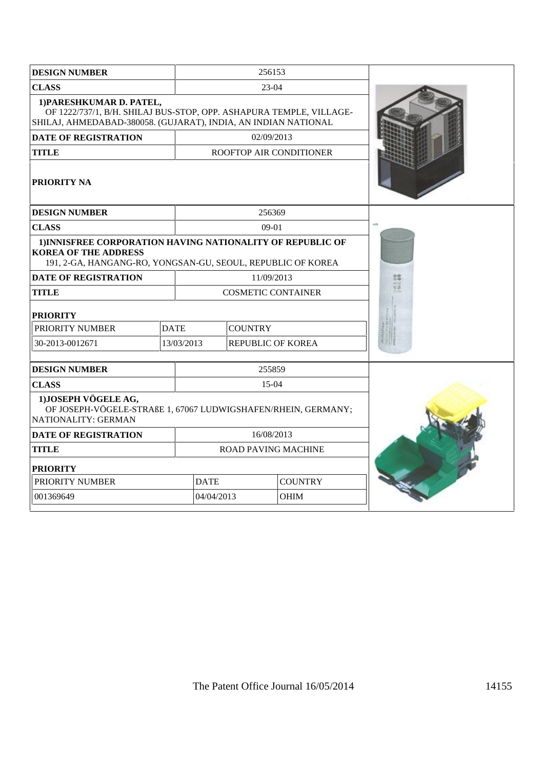| <b>DESIGN NUMBER</b>                                                                                                                                              | 256153                    |                            |                |  |
|-------------------------------------------------------------------------------------------------------------------------------------------------------------------|---------------------------|----------------------------|----------------|--|
| <b>CLASS</b>                                                                                                                                                      |                           | 23-04                      |                |  |
| 1) PARESHKUMAR D. PATEL,<br>OF 1222/737/1, B/H. SHILAJ BUS-STOP, OPP. ASHAPURA TEMPLE, VILLAGE-<br>SHILAJ, AHMEDABAD-380058. (GUJARAT), INDIA, AN INDIAN NATIONAL |                           |                            |                |  |
| <b>DATE OF REGISTRATION</b>                                                                                                                                       |                           | 02/09/2013                 |                |  |
| <b>TITLE</b>                                                                                                                                                      |                           | ROOFTOP AIR CONDITIONER    |                |  |
| <b>PRIORITY NA</b>                                                                                                                                                |                           |                            |                |  |
| <b>DESIGN NUMBER</b>                                                                                                                                              |                           | 256369                     |                |  |
| <b>CLASS</b>                                                                                                                                                      |                           | $09-01$                    |                |  |
| 1) INNISFREE CORPORATION HAVING NATIONALITY OF REPUBLIC OF<br><b>KOREA OF THE ADDRESS</b><br>191, 2-GA, HANGANG-RO, YONGSAN-GU, SEOUL, REPUBLIC OF KOREA          |                           |                            |                |  |
| <b>DATE OF REGISTRATION</b>                                                                                                                                       | 11/09/2013                |                            |                |  |
| <b>TITLE</b>                                                                                                                                                      | <b>COSMETIC CONTAINER</b> |                            |                |  |
| <b>PRIORITY</b>                                                                                                                                                   |                           |                            |                |  |
| PRIORITY NUMBER                                                                                                                                                   | <b>DATE</b>               | <b>COUNTRY</b>             |                |  |
| 30-2013-0012671                                                                                                                                                   | 13/03/2013                | <b>REPUBLIC OF KOREA</b>   |                |  |
| <b>DESIGN NUMBER</b>                                                                                                                                              |                           | 255859                     |                |  |
| <b>CLASS</b>                                                                                                                                                      |                           | 15-04                      |                |  |
| 1) JOSEPH VÖGELE AG,<br>OF JOSEPH-VÖGELE-STRAßE 1, 67067 LUDWIGSHAFEN/RHEIN, GERMANY;<br>NATIONALITY: GERMAN                                                      |                           |                            |                |  |
| <b>DATE OF REGISTRATION</b>                                                                                                                                       | 16/08/2013                |                            |                |  |
| <b>TITLE</b>                                                                                                                                                      |                           | <b>ROAD PAVING MACHINE</b> |                |  |
| <b>PRIORITY</b>                                                                                                                                                   |                           |                            |                |  |
| PRIORITY NUMBER                                                                                                                                                   |                           | <b>DATE</b>                | <b>COUNTRY</b> |  |
| 001369649                                                                                                                                                         |                           | 04/04/2013                 | OHIM           |  |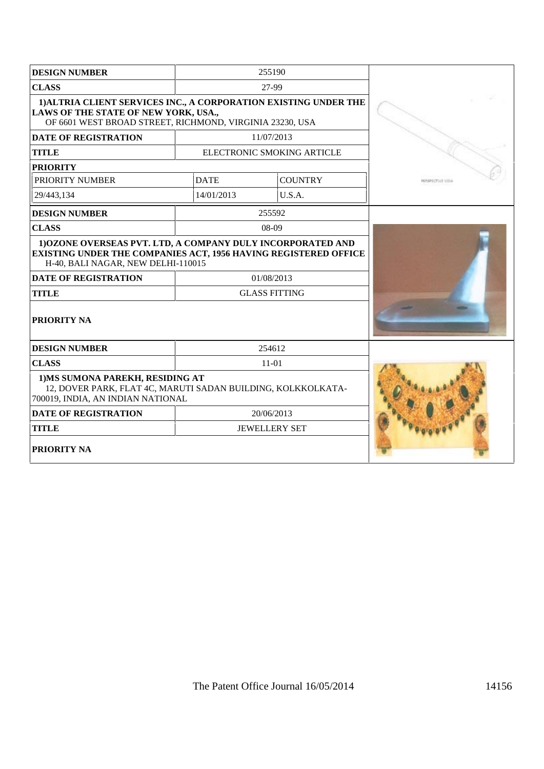| <b>DESIGN NUMBER</b>                                                                                                                                                        |             | 255190                     |                        |
|-----------------------------------------------------------------------------------------------------------------------------------------------------------------------------|-------------|----------------------------|------------------------|
| <b>CLASS</b>                                                                                                                                                                |             | 27-99                      |                        |
| 1) ALTRIA CLIENT SERVICES INC., A CORPORATION EXISTING UNDER THE<br>LAWS OF THE STATE OF NEW YORK, USA.,<br>OF 6601 WEST BROAD STREET, RICHMOND, VIRGINIA 23230, USA        |             |                            |                        |
| <b>DATE OF REGISTRATION</b>                                                                                                                                                 |             | 11/07/2013                 |                        |
| <b>TITLE</b>                                                                                                                                                                |             | ELECTRONIC SMOKING ARTICLE |                        |
| <b>PRIORITY</b>                                                                                                                                                             |             |                            |                        |
| PRIORITY NUMBER                                                                                                                                                             | <b>DATE</b> | <b>COUNTRY</b>             | <b>RESPECTIVE VIEW</b> |
| 29/443.134                                                                                                                                                                  | 14/01/2013  | U.S.A.                     |                        |
| <b>DESIGN NUMBER</b>                                                                                                                                                        |             | 255592                     |                        |
| <b>CLASS</b>                                                                                                                                                                |             | 08-09                      |                        |
| 1) OZONE OVERSEAS PVT. LTD, A COMPANY DULY INCORPORATED AND<br><b>EXISTING UNDER THE COMPANIES ACT, 1956 HAVING REGISTERED OFFICE</b><br>H-40, BALI NAGAR, NEW DELHI-110015 |             |                            |                        |
| <b>DATE OF REGISTRATION</b>                                                                                                                                                 |             | 01/08/2013                 |                        |
| <b>TITLE</b>                                                                                                                                                                |             | <b>GLASS FITTING</b>       |                        |
| <b>PRIORITY NA</b>                                                                                                                                                          |             |                            |                        |
| <b>DESIGN NUMBER</b>                                                                                                                                                        |             | 254612                     |                        |
| <b>CLASS</b>                                                                                                                                                                |             | $11-01$                    |                        |
| 1) MS SUMONA PAREKH, RESIDING AT<br>12, DOVER PARK, FLAT 4C, MARUTI SADAN BUILDING, KOLKKOLKATA-<br>700019, INDIA, AN INDIAN NATIONAL                                       |             |                            |                        |
| <b>DATE OF REGISTRATION</b>                                                                                                                                                 |             | 20/06/2013                 |                        |
| <b>TITLE</b>                                                                                                                                                                |             | <b>JEWELLERY SET</b>       |                        |
| <b>PRIORITY NA</b>                                                                                                                                                          |             |                            |                        |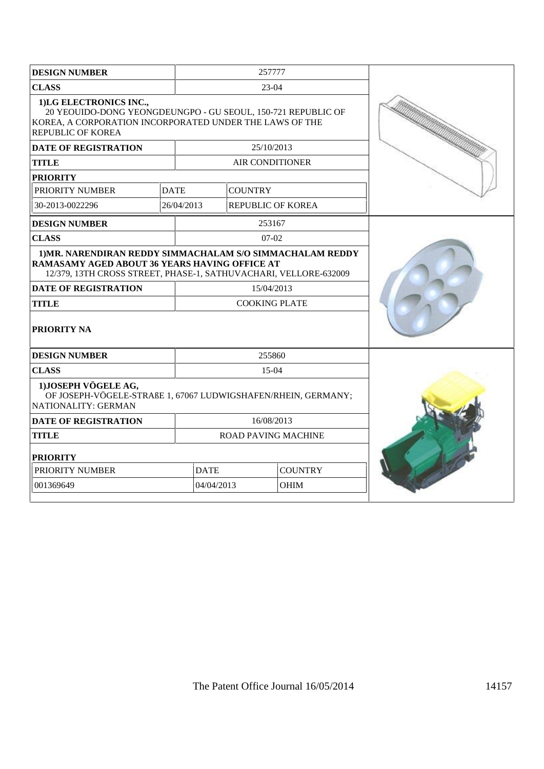| <b>DESIGN NUMBER</b>                                                                                                                                                           |             |                               | 257777                     |  |
|--------------------------------------------------------------------------------------------------------------------------------------------------------------------------------|-------------|-------------------------------|----------------------------|--|
| <b>CLASS</b>                                                                                                                                                                   |             |                               | 23-04                      |  |
| 1)LG ELECTRONICS INC.,<br>20 YEOUIDO-DONG YEONGDEUNGPO - GU SEOUL, 150-721 REPUBLIC OF<br>KOREA, A CORPORATION INCORPORATED UNDER THE LAWS OF THE<br><b>REPUBLIC OF KOREA</b>  |             |                               |                            |  |
| <b>DATE OF REGISTRATION</b>                                                                                                                                                    |             |                               | 25/10/2013                 |  |
| <b>TITLE</b>                                                                                                                                                                   |             |                               | AIR CONDITIONER            |  |
| <b>PRIORITY</b>                                                                                                                                                                |             |                               |                            |  |
| PRIORITY NUMBER                                                                                                                                                                | <b>DATE</b> | <b>COUNTRY</b>                |                            |  |
| 30-2013-0022296                                                                                                                                                                | 26/04/2013  |                               | REPUBLIC OF KOREA          |  |
| <b>DESIGN NUMBER</b>                                                                                                                                                           |             |                               | 253167                     |  |
| <b>CLASS</b>                                                                                                                                                                   |             |                               | $07-02$                    |  |
| 1) MR. NARENDIRAN REDDY SIMMACHALAM S/O SIMMACHALAM REDDY<br>RAMASAMY AGED ABOUT 36 YEARS HAVING OFFICE AT<br>12/379, 13TH CROSS STREET, PHASE-1, SATHUVACHARI, VELLORE-632009 |             |                               |                            |  |
| <b>DATE OF REGISTRATION</b>                                                                                                                                                    |             |                               | 15/04/2013                 |  |
| <b>TITLE</b>                                                                                                                                                                   |             |                               | <b>COOKING PLATE</b>       |  |
| PRIORITY NA                                                                                                                                                                    |             |                               |                            |  |
| <b>DESIGN NUMBER</b>                                                                                                                                                           |             |                               | 255860                     |  |
| <b>CLASS</b>                                                                                                                                                                   |             |                               | 15-04                      |  |
| 1) JOSEPH VÖGELE AG,<br>OF JOSEPH-VÖGELE-STRAßE 1, 67067 LUDWIGSHAFEN/RHEIN, GERMANY;<br><b>NATIONALITY: GERMAN</b>                                                            |             |                               |                            |  |
| <b>DATE OF REGISTRATION</b>                                                                                                                                                    |             |                               | 16/08/2013                 |  |
| <b>TITLE</b>                                                                                                                                                                   |             |                               | <b>ROAD PAVING MACHINE</b> |  |
| <b>PRIORITY</b>                                                                                                                                                                |             |                               |                            |  |
| PRIORITY NUMBER                                                                                                                                                                |             | <b>DATE</b><br><b>COUNTRY</b> |                            |  |
| 001369649                                                                                                                                                                      |             | 04/04/2013                    | <b>OHIM</b>                |  |
|                                                                                                                                                                                |             |                               |                            |  |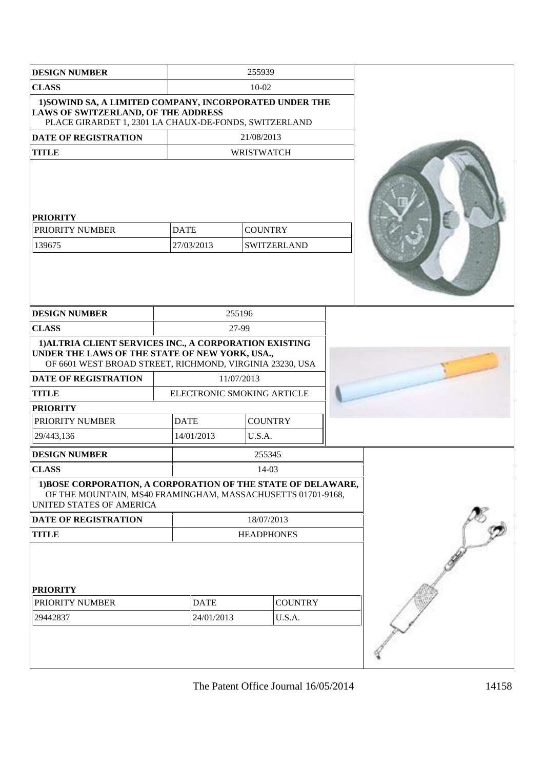| <b>DESIGN NUMBER</b>                                                                                                                                                 |                           | 255939                     |                          |  |  |
|----------------------------------------------------------------------------------------------------------------------------------------------------------------------|---------------------------|----------------------------|--------------------------|--|--|
| <b>CLASS</b>                                                                                                                                                         |                           | $10 - 02$                  |                          |  |  |
| 1) SOWIND SA, A LIMITED COMPANY, INCORPORATED UNDER THE<br><b>LAWS OF SWITZERLAND, OF THE ADDRESS</b><br>PLACE GIRARDET 1, 2301 LA CHAUX-DE-FONDS, SWITZERLAND       |                           |                            |                          |  |  |
| <b>DATE OF REGISTRATION</b>                                                                                                                                          |                           | 21/08/2013                 |                          |  |  |
| <b>TITLE</b>                                                                                                                                                         |                           | <b>WRISTWATCH</b>          |                          |  |  |
| <b>PRIORITY</b><br>PRIORITY NUMBER<br>139675                                                                                                                         | <b>DATE</b><br>27/03/2013 | <b>COUNTRY</b>             | SWITZERLAND              |  |  |
| <b>DESIGN NUMBER</b>                                                                                                                                                 |                           | 255196                     |                          |  |  |
| <b>CLASS</b>                                                                                                                                                         |                           | 27-99                      |                          |  |  |
| 1) ALTRIA CLIENT SERVICES INC., A CORPORATION EXISTING<br>UNDER THE LAWS OF THE STATE OF NEW YORK, USA.,<br>OF 6601 WEST BROAD STREET, RICHMOND, VIRGINIA 23230, USA |                           |                            |                          |  |  |
| DATE OF REGISTRATION                                                                                                                                                 |                           | 11/07/2013                 |                          |  |  |
| <b>TITLE</b>                                                                                                                                                         |                           | ELECTRONIC SMOKING ARTICLE |                          |  |  |
| <b>PRIORITY</b>                                                                                                                                                      |                           |                            |                          |  |  |
| PRIORITY NUMBER                                                                                                                                                      | <b>DATE</b>               | <b>COUNTRY</b>             |                          |  |  |
| 29/443,136                                                                                                                                                           | 14/01/2013                | U.S.A.                     |                          |  |  |
| <b>DESIGN NUMBER</b>                                                                                                                                                 |                           | 255345                     |                          |  |  |
| <b>CLASS</b>                                                                                                                                                         |                           | 14-03                      |                          |  |  |
| 1) BOSE CORPORATION, A CORPORATION OF THE STATE OF DELAWARE,<br>OF THE MOUNTAIN, MS40 FRAMINGHAM, MASSACHUSETTS 01701-9168,<br>UNITED STATES OF AMERICA              |                           |                            |                          |  |  |
| <b>DATE OF REGISTRATION</b>                                                                                                                                          |                           |                            | 18/07/2013               |  |  |
| <b>TITLE</b>                                                                                                                                                         |                           | <b>HEADPHONES</b>          |                          |  |  |
| <b>PRIORITY</b><br>PRIORITY NUMBER<br>29442837                                                                                                                       | <b>DATE</b><br>24/01/2013 |                            | <b>COUNTRY</b><br>U.S.A. |  |  |
|                                                                                                                                                                      |                           |                            |                          |  |  |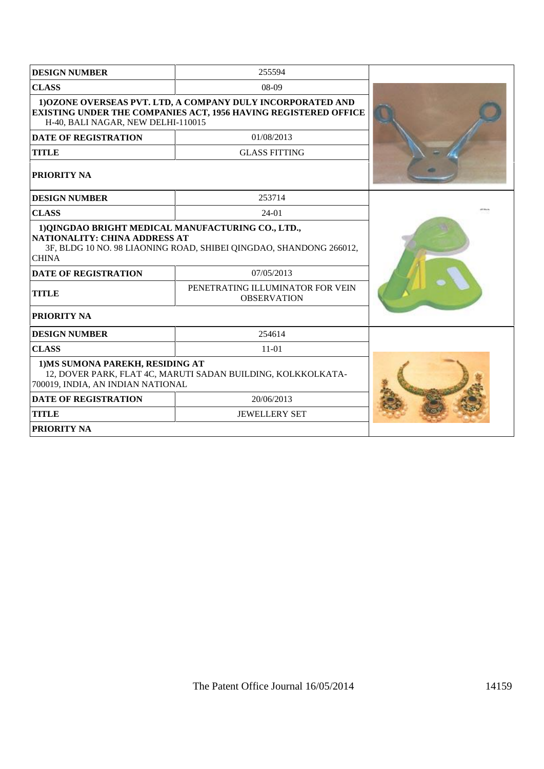| <b>DESIGN NUMBER</b>                                                                                                                                                             | 255594                                                 |  |  |
|----------------------------------------------------------------------------------------------------------------------------------------------------------------------------------|--------------------------------------------------------|--|--|
| <b>CLASS</b>                                                                                                                                                                     | $08-09$                                                |  |  |
| 1) OZONE OVERSEAS PVT. LTD, A COMPANY DULY INCORPORATED AND<br>EXISTING UNDER THE COMPANIES ACT, 1956 HAVING REGISTERED OFFICE<br>H-40, BALI NAGAR, NEW DELHI-110015             |                                                        |  |  |
| <b>DATE OF REGISTRATION</b>                                                                                                                                                      | 01/08/2013                                             |  |  |
| <b>TITLE</b>                                                                                                                                                                     | <b>GLASS FITTING</b>                                   |  |  |
| <b>PRIORITY NA</b>                                                                                                                                                               |                                                        |  |  |
| <b>DESIGN NUMBER</b>                                                                                                                                                             | 253714                                                 |  |  |
| <b>CLASS</b>                                                                                                                                                                     | 24-01                                                  |  |  |
| 1) QINGDAO BRIGHT MEDICAL MANUFACTURING CO., LTD.,<br><b>NATIONALITY: CHINA ADDRESS AT</b><br>3F, BLDG 10 NO. 98 LIAONING ROAD, SHIBEI QINGDAO, SHANDONG 266012,<br><b>CHINA</b> |                                                        |  |  |
| <b>DATE OF REGISTRATION</b>                                                                                                                                                      | 07/05/2013                                             |  |  |
| <b>TITLE</b>                                                                                                                                                                     | PENETRATING ILLUMINATOR FOR VEIN<br><b>OBSERVATION</b> |  |  |
| <b>PRIORITY NA</b>                                                                                                                                                               |                                                        |  |  |
| <b>DESIGN NUMBER</b>                                                                                                                                                             | 254614                                                 |  |  |
| <b>CLASS</b>                                                                                                                                                                     | $11-01$                                                |  |  |
| 1) MS SUMONA PAREKH, RESIDING AT<br>12, DOVER PARK, FLAT 4C, MARUTI SADAN BUILDING, KOLKKOLKATA-<br>700019, INDIA, AN INDIAN NATIONAL                                            |                                                        |  |  |
| <b>DATE OF REGISTRATION</b>                                                                                                                                                      | 20/06/2013                                             |  |  |
| <b>TITLE</b>                                                                                                                                                                     | <b>JEWELLERY SET</b>                                   |  |  |
| <b>PRIORITY NA</b>                                                                                                                                                               |                                                        |  |  |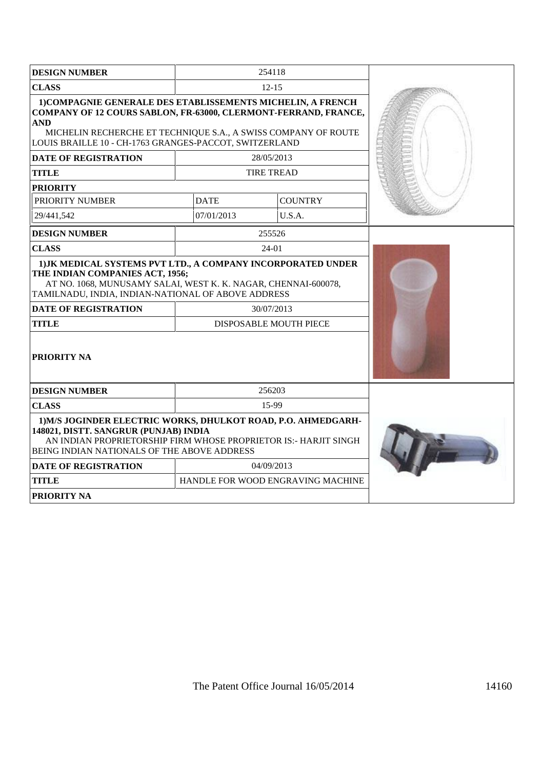| <b>DESIGN NUMBER</b>                                                                                                                                                                                                                                                     |                                             | 254118                            |  |
|--------------------------------------------------------------------------------------------------------------------------------------------------------------------------------------------------------------------------------------------------------------------------|---------------------------------------------|-----------------------------------|--|
| <b>CLASS</b>                                                                                                                                                                                                                                                             |                                             | $12 - 15$                         |  |
| 1) COMPAGNIE GENERALE DES ETABLISSEMENTS MICHELIN, A FRENCH<br>COMPANY OF 12 COURS SABLON, FR-63000, CLERMONT-FERRAND, FRANCE,<br><b>AND</b><br>MICHELIN RECHERCHE ET TECHNIQUE S.A., A SWISS COMPANY OF ROUTE<br>LOUIS BRAILLE 10 - CH-1763 GRANGES-PACCOT, SWITZERLAND |                                             |                                   |  |
| <b>DATE OF REGISTRATION</b>                                                                                                                                                                                                                                              |                                             | 28/05/2013                        |  |
| <b>TITLE</b>                                                                                                                                                                                                                                                             |                                             | <b>TIRE TREAD</b>                 |  |
| <b>PRIORITY</b>                                                                                                                                                                                                                                                          |                                             |                                   |  |
| PRIORITY NUMBER                                                                                                                                                                                                                                                          | <b>DATE</b>                                 | <b>COUNTRY</b>                    |  |
| 29/441,542                                                                                                                                                                                                                                                               | 07/01/2013                                  | U.S.A.                            |  |
| <b>DESIGN NUMBER</b>                                                                                                                                                                                                                                                     |                                             | 255526                            |  |
| <b>CLASS</b>                                                                                                                                                                                                                                                             |                                             | $24-01$                           |  |
| 1) JK MEDICAL SYSTEMS PVT LTD., A COMPANY INCORPORATED UNDER<br>THE INDIAN COMPANIES ACT, 1956;<br>AT NO. 1068, MUNUSAMY SALAI, WEST K. K. NAGAR, CHENNAI-600078,<br>TAMILNADU, INDIA, INDIAN-NATIONAL OF ABOVE ADDRESS<br><b>DATE OF REGISTRATION</b>                   |                                             |                                   |  |
| <b>TITLE</b>                                                                                                                                                                                                                                                             | 30/07/2013<br><b>DISPOSABLE MOUTH PIECE</b> |                                   |  |
| <b>PRIORITY NA</b>                                                                                                                                                                                                                                                       |                                             |                                   |  |
| <b>DESIGN NUMBER</b>                                                                                                                                                                                                                                                     |                                             | 256203                            |  |
| <b>CLASS</b>                                                                                                                                                                                                                                                             |                                             | 15-99                             |  |
| 1) M/S JOGINDER ELECTRIC WORKS, DHULKOT ROAD, P.O. AHMEDGARH-<br>148021, DISTT. SANGRUR (PUNJAB) INDIA<br>AN INDIAN PROPRIETORSHIP FIRM WHOSE PROPRIETOR IS:- HARJIT SINGH<br>BEING INDIAN NATIONALS OF THE ABOVE ADDRESS                                                |                                             |                                   |  |
| <b>DATE OF REGISTRATION</b>                                                                                                                                                                                                                                              |                                             | 04/09/2013                        |  |
| <b>TITLE</b>                                                                                                                                                                                                                                                             |                                             | HANDLE FOR WOOD ENGRAVING MACHINE |  |
| <b>PRIORITY NA</b>                                                                                                                                                                                                                                                       |                                             |                                   |  |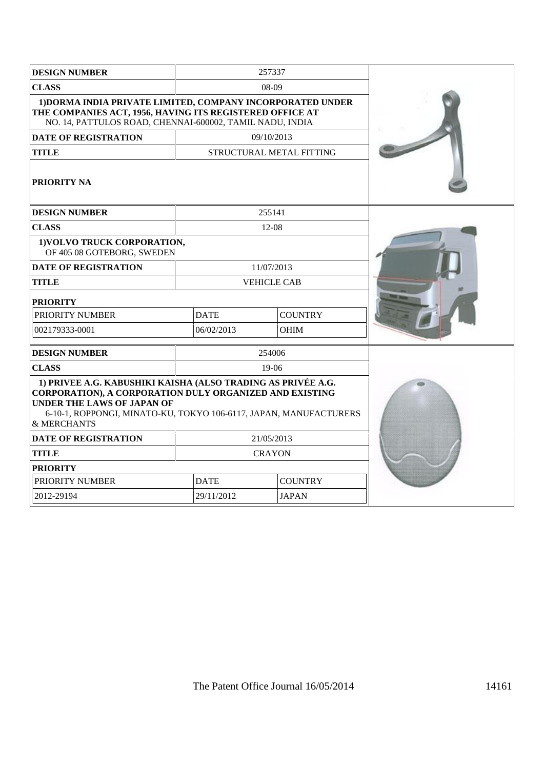| <b>DESIGN NUMBER</b>                                                                                                                                                                                                                                    |             | 257337                   |  |
|---------------------------------------------------------------------------------------------------------------------------------------------------------------------------------------------------------------------------------------------------------|-------------|--------------------------|--|
| <b>CLASS</b>                                                                                                                                                                                                                                            |             | $08-09$                  |  |
| 1) DORMA INDIA PRIVATE LIMITED, COMPANY INCORPORATED UNDER<br>THE COMPANIES ACT, 1956, HAVING ITS REGISTERED OFFICE AT<br>NO. 14, PATTULOS ROAD, CHENNAI-600002, TAMIL NADU, INDIA                                                                      |             |                          |  |
| <b>DATE OF REGISTRATION</b>                                                                                                                                                                                                                             |             | 09/10/2013               |  |
| <b>TITLE</b>                                                                                                                                                                                                                                            |             | STRUCTURAL METAL FITTING |  |
| <b>PRIORITY NA</b>                                                                                                                                                                                                                                      |             |                          |  |
| <b>DESIGN NUMBER</b>                                                                                                                                                                                                                                    |             | 255141                   |  |
| <b>CLASS</b>                                                                                                                                                                                                                                            |             | 12-08                    |  |
| 1) VOLVO TRUCK CORPORATION,<br>OF 405 08 GOTEBORG, SWEDEN                                                                                                                                                                                               |             |                          |  |
| <b>DATE OF REGISTRATION</b>                                                                                                                                                                                                                             |             | 11/07/2013               |  |
| <b>TITLE</b>                                                                                                                                                                                                                                            |             | <b>VEHICLE CAB</b>       |  |
| <b>PRIORITY</b>                                                                                                                                                                                                                                         |             |                          |  |
| PRIORITY NUMBER                                                                                                                                                                                                                                         | <b>DATE</b> | <b>COUNTRY</b>           |  |
| 002179333-0001                                                                                                                                                                                                                                          | 06/02/2013  | <b>OHIM</b>              |  |
| <b>DESIGN NUMBER</b>                                                                                                                                                                                                                                    |             | 254006                   |  |
| <b>CLASS</b>                                                                                                                                                                                                                                            |             | $19-06$                  |  |
| 1) PRIVEE A.G. KABUSHIKI KAISHA (ALSO TRADING AS PRIVÉE A.G.<br><b>CORPORATION), A CORPORATION DULY ORGANIZED AND EXISTING</b><br><b>UNDER THE LAWS OF JAPAN OF</b><br>6-10-1, ROPPONGI, MINATO-KU, TOKYO 106-6117, JAPAN, MANUFACTURERS<br>& MERCHANTS |             |                          |  |
| <b>DATE OF REGISTRATION</b>                                                                                                                                                                                                                             |             | 21/05/2013               |  |
| <b>TITLE</b>                                                                                                                                                                                                                                            |             | <b>CRAYON</b>            |  |
| <b>PRIORITY</b>                                                                                                                                                                                                                                         |             |                          |  |
| PRIORITY NUMBER                                                                                                                                                                                                                                         | <b>DATE</b> | <b>COUNTRY</b>           |  |
| 2012-29194                                                                                                                                                                                                                                              | 29/11/2012  | <b>JAPAN</b>             |  |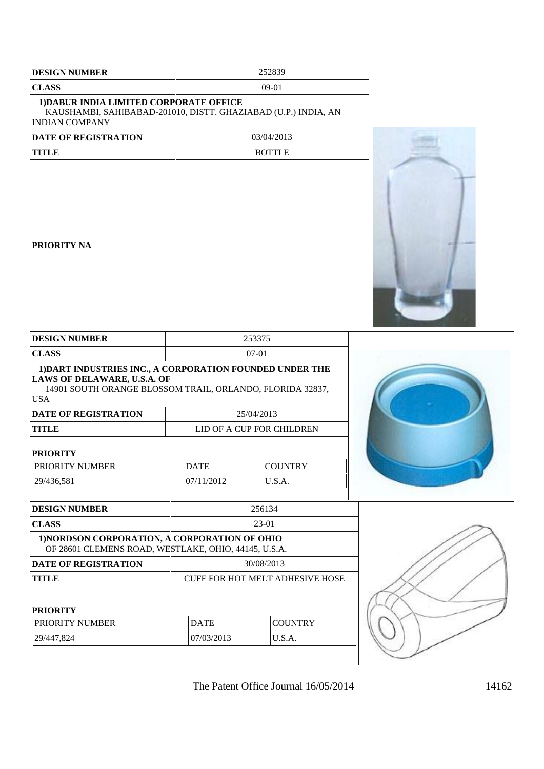| <b>DESIGN NUMBER</b>                                                                                                                                                                                     |             | 252839                          |  |
|----------------------------------------------------------------------------------------------------------------------------------------------------------------------------------------------------------|-------------|---------------------------------|--|
| <b>CLASS</b>                                                                                                                                                                                             |             | 09-01                           |  |
| 1) DABUR INDIA LIMITED CORPORATE OFFICE<br>KAUSHAMBI, SAHIBABAD-201010, DISTT. GHAZIABAD (U.P.) INDIA, AN<br><b>INDIAN COMPANY</b>                                                                       |             |                                 |  |
| <b>DATE OF REGISTRATION</b>                                                                                                                                                                              |             | 03/04/2013                      |  |
| <b>TITLE</b>                                                                                                                                                                                             |             | <b>BOTTLE</b>                   |  |
| <b>PRIORITY NA</b>                                                                                                                                                                                       |             |                                 |  |
| <b>DESIGN NUMBER</b>                                                                                                                                                                                     |             | 253375                          |  |
| <b>CLASS</b>                                                                                                                                                                                             |             | $07-01$                         |  |
| 1) DART INDUSTRIES INC., A CORPORATION FOUNDED UNDER THE<br><b>LAWS OF DELAWARE, U.S.A. OF</b><br>14901 SOUTH ORANGE BLOSSOM TRAIL, ORLANDO, FLORIDA 32837,<br><b>USA</b><br><b>DATE OF REGISTRATION</b> |             | 25/04/2013                      |  |
| <b>TITLE</b>                                                                                                                                                                                             |             | LID OF A CUP FOR CHILDREN       |  |
| <b>PRIORITY</b>                                                                                                                                                                                          |             |                                 |  |
| <b>PRIORITY NUMBER</b>                                                                                                                                                                                   | <b>DATE</b> | <b>COUNTRY</b>                  |  |
| 29/436,581                                                                                                                                                                                               | 07/11/2012  | U.S.A.                          |  |
|                                                                                                                                                                                                          |             |                                 |  |
| <b>DESIGN NUMBER</b>                                                                                                                                                                                     |             | 256134                          |  |
| <b>CLASS</b><br>1) NORDSON CORPORATION, A CORPORATION OF OHIO<br>OF 28601 CLEMENS ROAD, WESTLAKE, OHIO, 44145, U.S.A.                                                                                    |             | 23-01                           |  |
| <b>DATE OF REGISTRATION</b>                                                                                                                                                                              |             | 30/08/2013                      |  |
| <b>TITLE</b>                                                                                                                                                                                             |             | CUFF FOR HOT MELT ADHESIVE HOSE |  |
| <b>PRIORITY</b>                                                                                                                                                                                          |             |                                 |  |
| PRIORITY NUMBER                                                                                                                                                                                          | <b>DATE</b> | <b>COUNTRY</b>                  |  |
| 29/447,824                                                                                                                                                                                               | 07/03/2013  | U.S.A.                          |  |
|                                                                                                                                                                                                          |             |                                 |  |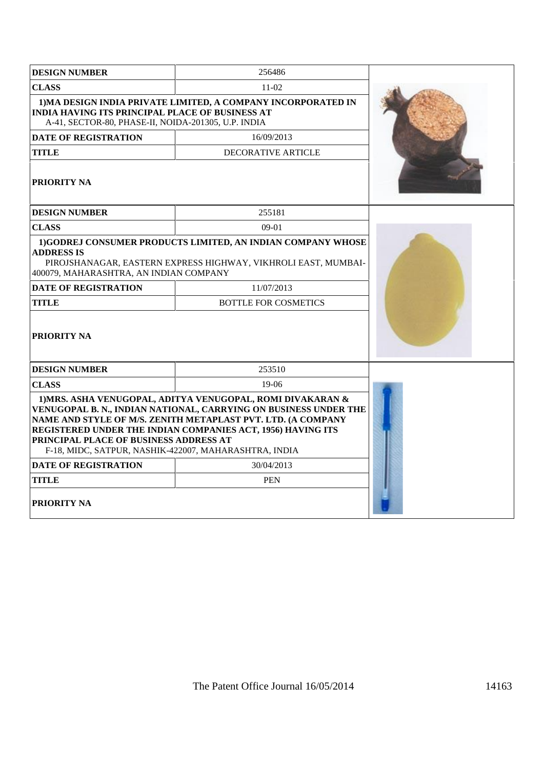| <b>DESIGN NUMBER</b>                                                                                                                                                           | 256486                                                                                                                                                                                                                                                        |  |
|--------------------------------------------------------------------------------------------------------------------------------------------------------------------------------|---------------------------------------------------------------------------------------------------------------------------------------------------------------------------------------------------------------------------------------------------------------|--|
| <b>CLASS</b>                                                                                                                                                                   | $11-02$                                                                                                                                                                                                                                                       |  |
| 1) MA DESIGN INDIA PRIVATE LIMITED, A COMPANY INCORPORATED IN<br><b>INDIA HAVING ITS PRINCIPAL PLACE OF BUSINESS AT</b><br>A-41, SECTOR-80, PHASE-II, NOIDA-201305, U.P. INDIA |                                                                                                                                                                                                                                                               |  |
| <b>DATE OF REGISTRATION</b>                                                                                                                                                    | 16/09/2013                                                                                                                                                                                                                                                    |  |
| <b>TITLE</b>                                                                                                                                                                   | <b>DECORATIVE ARTICLE</b>                                                                                                                                                                                                                                     |  |
| <b>PRIORITY NA</b>                                                                                                                                                             |                                                                                                                                                                                                                                                               |  |
| <b>DESIGN NUMBER</b>                                                                                                                                                           | 255181                                                                                                                                                                                                                                                        |  |
| <b>CLASS</b>                                                                                                                                                                   | $09-01$                                                                                                                                                                                                                                                       |  |
| <b>ADDRESS IS</b><br>400079, MAHARASHTRA, AN INDIAN COMPANY                                                                                                                    | 1) GODREJ CONSUMER PRODUCTS LIMITED, AN INDIAN COMPANY WHOSE<br>PIROJSHANAGAR, EASTERN EXPRESS HIGHWAY, VIKHROLI EAST, MUMBAI-                                                                                                                                |  |
| <b>DATE OF REGISTRATION</b>                                                                                                                                                    | 11/07/2013                                                                                                                                                                                                                                                    |  |
| <b>TITLE</b>                                                                                                                                                                   | <b>BOTTLE FOR COSMETICS</b>                                                                                                                                                                                                                                   |  |
| <b>PRIORITY NA</b><br><b>DESIGN NUMBER</b>                                                                                                                                     | 253510                                                                                                                                                                                                                                                        |  |
|                                                                                                                                                                                |                                                                                                                                                                                                                                                               |  |
| <b>CLASS</b>                                                                                                                                                                   | $19-06$                                                                                                                                                                                                                                                       |  |
| PRINCIPAL PLACE OF BUSINESS ADDRESS AT<br>F-18, MIDC, SATPUR, NASHIK-422007, MAHARASHTRA, INDIA                                                                                | 1) MRS. ASHA VENUGOPAL, ADITYA VENUGOPAL, ROMI DIVAKARAN &<br>VENUGOPAL B. N., INDIAN NATIONAL, CARRYING ON BUSINESS UNDER THE<br>NAME AND STYLE OF M/S. ZENITH METAPLAST PVT. LTD. (A COMPANY<br>REGISTERED UNDER THE INDIAN COMPANIES ACT, 1956) HAVING ITS |  |
| <b>DATE OF REGISTRATION</b>                                                                                                                                                    | 30/04/2013                                                                                                                                                                                                                                                    |  |
| <b>TITLE</b>                                                                                                                                                                   | <b>PEN</b>                                                                                                                                                                                                                                                    |  |
| <b>PRIORITY NA</b>                                                                                                                                                             |                                                                                                                                                                                                                                                               |  |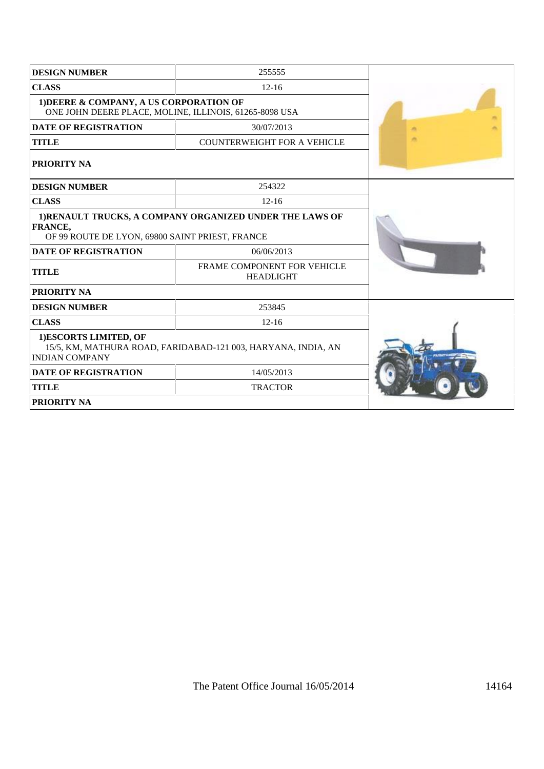| <b>DESIGN NUMBER</b>                                                                                            | 255555                                                  |  |
|-----------------------------------------------------------------------------------------------------------------|---------------------------------------------------------|--|
| <b>CLASS</b>                                                                                                    | $12 - 16$                                               |  |
| 1) DEERE & COMPANY, A US CORPORATION OF<br>ONE JOHN DEERE PLACE, MOLINE, ILLINOIS, 61265-8098 USA               |                                                         |  |
| <b>DATE OF REGISTRATION</b>                                                                                     | 30/07/2013                                              |  |
| <b>TITLE</b>                                                                                                    | <b>COUNTERWEIGHT FOR A VEHICLE</b>                      |  |
| <b> PRIORITY NA</b>                                                                                             |                                                         |  |
| <b>DESIGN NUMBER</b>                                                                                            | 254322                                                  |  |
| <b>CLASS</b>                                                                                                    | $12 - 16$                                               |  |
| <b>FRANCE,</b><br>OF 99 ROUTE DE LYON, 69800 SAINT PRIEST, FRANCE                                               | 1)RENAULT TRUCKS, A COMPANY ORGANIZED UNDER THE LAWS OF |  |
| <b>DATE OF REGISTRATION</b>                                                                                     | 06/06/2013                                              |  |
| <b>TITLE</b>                                                                                                    | FRAME COMPONENT FOR VEHICLE<br><b>HEADLIGHT</b>         |  |
| <b>PRIORITY NA</b>                                                                                              |                                                         |  |
| <b>DESIGN NUMBER</b>                                                                                            | 253845                                                  |  |
| <b>CLASS</b>                                                                                                    | $12 - 16$                                               |  |
| 1)ESCORTS LIMITED, OF<br>15/5, KM, MATHURA ROAD, FARIDABAD-121 003, HARYANA, INDIA, AN<br><b>INDIAN COMPANY</b> |                                                         |  |
| <b>DATE OF REGISTRATION</b>                                                                                     | 14/05/2013                                              |  |
| <b>TITLE</b>                                                                                                    | <b>TRACTOR</b>                                          |  |
| <b>PRIORITY NA</b>                                                                                              |                                                         |  |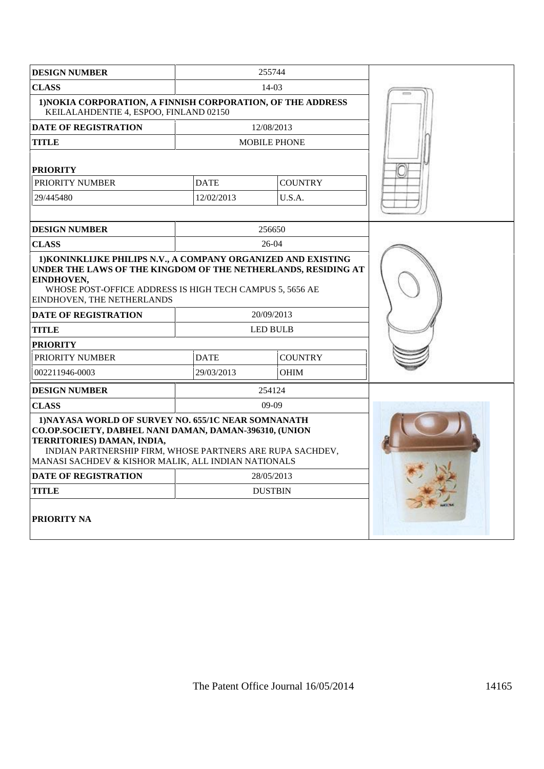| <b>DESIGN NUMBER</b>                                                                                                                                                                                                                                                   |             | 255744              |  |
|------------------------------------------------------------------------------------------------------------------------------------------------------------------------------------------------------------------------------------------------------------------------|-------------|---------------------|--|
| <b>CLASS</b>                                                                                                                                                                                                                                                           |             | $14-03$             |  |
| 1) NOKIA CORPORATION, A FINNISH CORPORATION, OF THE ADDRESS<br>KEILALAHDENTIE 4, ESPOO, FINLAND 02150                                                                                                                                                                  |             |                     |  |
| <b>DATE OF REGISTRATION</b>                                                                                                                                                                                                                                            |             | 12/08/2013          |  |
| TITLE                                                                                                                                                                                                                                                                  |             | <b>MOBILE PHONE</b> |  |
| <b>PRIORITY</b>                                                                                                                                                                                                                                                        |             |                     |  |
| PRIORITY NUMBER                                                                                                                                                                                                                                                        | <b>DATE</b> | <b>COUNTRY</b>      |  |
| 29/445480                                                                                                                                                                                                                                                              | 12/02/2013  | U.S.A.              |  |
|                                                                                                                                                                                                                                                                        |             |                     |  |
| <b>DESIGN NUMBER</b>                                                                                                                                                                                                                                                   |             | 256650              |  |
| <b>CLASS</b>                                                                                                                                                                                                                                                           |             | 26-04               |  |
| 1) KONINKLIJKE PHILIPS N.V., A COMPANY ORGANIZED AND EXISTING<br>UNDER THE LAWS OF THE KINGDOM OF THE NETHERLANDS, RESIDING AT<br>EINDHOVEN,<br>WHOSE POST-OFFICE ADDRESS IS HIGH TECH CAMPUS 5, 5656 AE<br>EINDHOVEN, THE NETHERLANDS                                 |             |                     |  |
| <b>DATE OF REGISTRATION</b>                                                                                                                                                                                                                                            |             | 20/09/2013          |  |
| <b>TITLE</b>                                                                                                                                                                                                                                                           |             | LED BULB            |  |
| <b>PRIORITY</b>                                                                                                                                                                                                                                                        |             |                     |  |
| PRIORITY NUMBER                                                                                                                                                                                                                                                        | <b>DATE</b> | <b>COUNTRY</b>      |  |
| 002211946-0003                                                                                                                                                                                                                                                         | 29/03/2013  | <b>OHIM</b>         |  |
| <b>DESIGN NUMBER</b>                                                                                                                                                                                                                                                   |             | 254124              |  |
| <b>CLASS</b>                                                                                                                                                                                                                                                           |             | $(09-0)9$           |  |
| <b>1) NAYASA WORLD OF SURVEY NO. 655/1C NEAR SOMNANATH</b><br>CO.OP.SOCIETY, DABHEL NANI DAMAN, DAMAN-396310, (UNION<br>TERRITORIES) DAMAN, INDIA,<br>INDIAN PARTNERSHIP FIRM, WHOSE PARTNERS ARE RUPA SACHDEV,<br>MANASI SACHDEV & KISHOR MALIK, ALL INDIAN NATIONALS |             |                     |  |
| <b>DATE OF REGISTRATION</b>                                                                                                                                                                                                                                            |             | 28/05/2013          |  |
| <b>TITLE</b>                                                                                                                                                                                                                                                           |             | <b>DUSTBIN</b>      |  |
| PRIORITY NA                                                                                                                                                                                                                                                            |             |                     |  |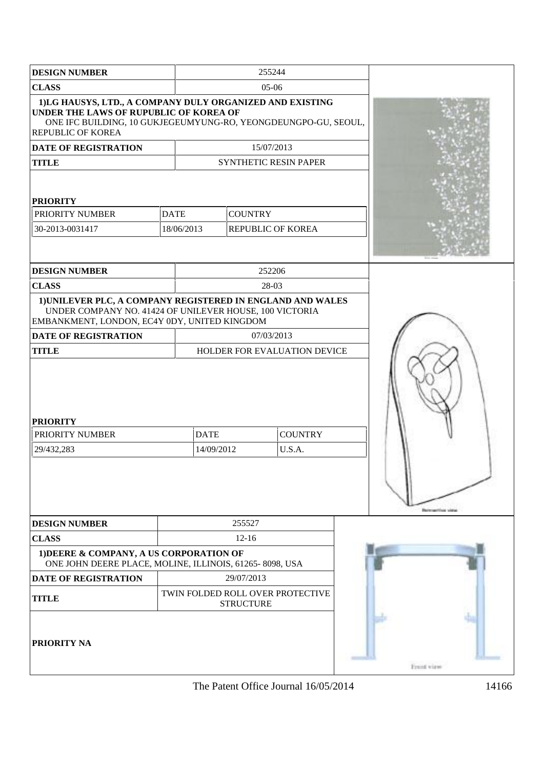| <b>DESIGN NUMBER</b>                                                                                                                                                                      |             |                  | 255244                              |                                      |
|-------------------------------------------------------------------------------------------------------------------------------------------------------------------------------------------|-------------|------------------|-------------------------------------|--------------------------------------|
| <b>CLASS</b>                                                                                                                                                                              |             |                  | $05-06$                             |                                      |
| 1)LG HAUSYS, LTD., A COMPANY DULY ORGANIZED AND EXISTING<br>UNDER THE LAWS OF RUPUBLIC OF KOREA OF<br>ONE IFC BUILDING, 10 GUKJEGEUMYUNG-RO, YEONGDEUNGPO-GU, SEOUL,<br>REPUBLIC OF KOREA |             |                  |                                     |                                      |
| DATE OF REGISTRATION                                                                                                                                                                      |             |                  | 15/07/2013                          |                                      |
| <b>TITLE</b>                                                                                                                                                                              |             |                  | SYNTHETIC RESIN PAPER               |                                      |
| <b>PRIORITY</b>                                                                                                                                                                           |             |                  |                                     |                                      |
| PRIORITY NUMBER                                                                                                                                                                           | <b>DATE</b> | <b>COUNTRY</b>   |                                     |                                      |
| 30-2013-0031417                                                                                                                                                                           | 18/06/2013  |                  | <b>REPUBLIC OF KOREA</b>            |                                      |
| <b>DESIGN NUMBER</b>                                                                                                                                                                      |             |                  | 252206                              |                                      |
| <b>CLASS</b>                                                                                                                                                                              |             |                  | 28-03                               |                                      |
| 1) UNILEVER PLC, A COMPANY REGISTERED IN ENGLAND AND WALES<br>UNDER COMPANY NO. 41424 OF UNILEVER HOUSE, 100 VICTORIA<br>EMBANKMENT, LONDON, EC4Y 0DY, UNITED KINGDOM                     |             |                  |                                     |                                      |
| DATE OF REGISTRATION                                                                                                                                                                      |             |                  | 07/03/2013                          |                                      |
| <b>TITLE</b>                                                                                                                                                                              |             |                  | <b>HOLDER FOR EVALUATION DEVICE</b> |                                      |
| <b>PRIORITY</b><br>PRIORITY NUMBER<br><b>DATE</b><br><b>COUNTRY</b><br>14/09/2012<br>U.S.A.<br>29/432,283                                                                                 |             |                  |                                     | <b>Market Campbell County County</b> |
| <b>DESIGN NUMBER</b>                                                                                                                                                                      |             | 255527           |                                     |                                      |
| <b>CLASS</b>                                                                                                                                                                              |             | $12 - 16$        |                                     |                                      |
| 1) DEERE & COMPANY, A US CORPORATION OF<br>ONE JOHN DEERE PLACE, MOLINE, ILLINOIS, 61265-8098, USA                                                                                        |             |                  |                                     |                                      |
| <b>DATE OF REGISTRATION</b>                                                                                                                                                               |             | 29/07/2013       |                                     |                                      |
| <b>TITLE</b>                                                                                                                                                                              |             | <b>STRUCTURE</b> | TWIN FOLDED ROLL OVER PROTECTIVE    |                                      |
| PRIORITY NA                                                                                                                                                                               |             |                  |                                     | Frent view                           |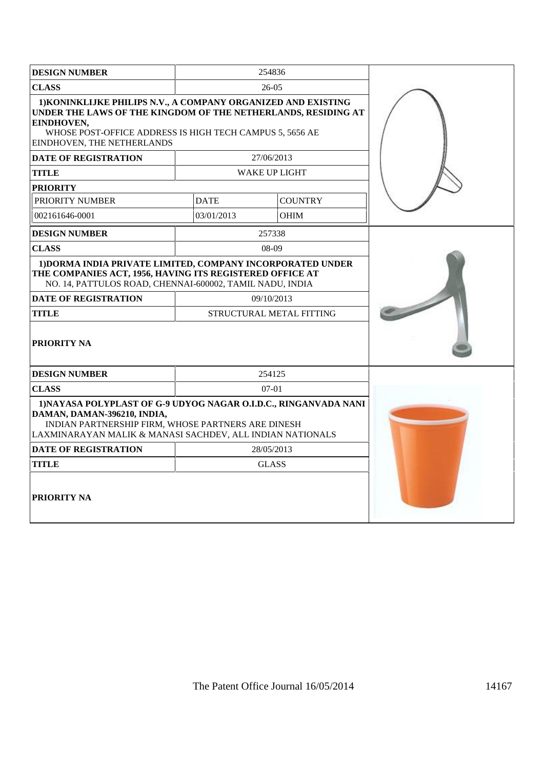| <b>DESIGN NUMBER</b>                                                                                                                                                                                                                   |             | 254836                   |  |
|----------------------------------------------------------------------------------------------------------------------------------------------------------------------------------------------------------------------------------------|-------------|--------------------------|--|
| <b>CLASS</b>                                                                                                                                                                                                                           |             | $26-05$                  |  |
| 1) KONINKLIJKE PHILIPS N.V., A COMPANY ORGANIZED AND EXISTING<br>UNDER THE LAWS OF THE KINGDOM OF THE NETHERLANDS, RESIDING AT<br>EINDHOVEN,<br>WHOSE POST-OFFICE ADDRESS IS HIGH TECH CAMPUS 5, 5656 AE<br>EINDHOVEN, THE NETHERLANDS |             |                          |  |
| <b>DATE OF REGISTRATION</b>                                                                                                                                                                                                            |             | 27/06/2013               |  |
| <b>TITLE</b>                                                                                                                                                                                                                           |             | <b>WAKE UP LIGHT</b>     |  |
| <b>PRIORITY</b>                                                                                                                                                                                                                        |             |                          |  |
| PRIORITY NUMBER                                                                                                                                                                                                                        | <b>DATE</b> | <b>COUNTRY</b>           |  |
| 002161646-0001                                                                                                                                                                                                                         | 03/01/2013  | <b>OHIM</b>              |  |
| <b>DESIGN NUMBER</b>                                                                                                                                                                                                                   |             | 257338                   |  |
| <b>CLASS</b>                                                                                                                                                                                                                           |             | $08-09$                  |  |
| 1) DORMA INDIA PRIVATE LIMITED, COMPANY INCORPORATED UNDER<br>THE COMPANIES ACT, 1956, HAVING ITS REGISTERED OFFICE AT<br>NO. 14, PATTULOS ROAD, CHENNAI-600002, TAMIL NADU, INDIA                                                     |             |                          |  |
| <b>DATE OF REGISTRATION</b>                                                                                                                                                                                                            |             | 09/10/2013               |  |
| <b>TITLE</b>                                                                                                                                                                                                                           |             | STRUCTURAL METAL FITTING |  |
| <b>PRIORITY NA</b>                                                                                                                                                                                                                     |             |                          |  |
| <b>DESIGN NUMBER</b>                                                                                                                                                                                                                   |             | 254125                   |  |
| <b>CLASS</b>                                                                                                                                                                                                                           |             | $07-01$                  |  |
| 1) NAYASA POLYPLAST OF G-9 UDYOG NAGAR O.I.D.C., RINGANVADA NANI<br>DAMAN, DAMAN-396210, INDIA,<br>INDIAN PARTNERSHIP FIRM, WHOSE PARTNERS ARE DINESH<br>LAXMINARAYAN MALIK & MANASI SACHDEV, ALL INDIAN NATIONALS                     |             |                          |  |
| <b>DATE OF REGISTRATION</b>                                                                                                                                                                                                            |             | 28/05/2013               |  |
| <b>TITLE</b>                                                                                                                                                                                                                           |             | <b>GLASS</b>             |  |
| <b>PRIORITY NA</b>                                                                                                                                                                                                                     |             |                          |  |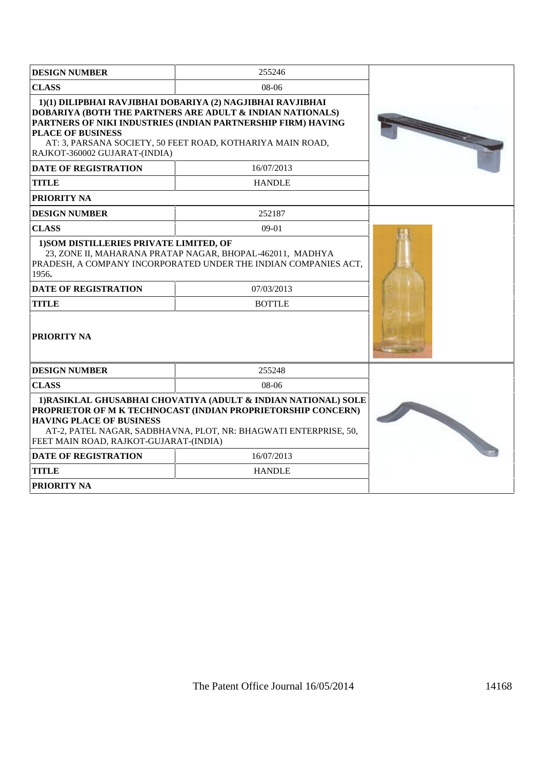| <b>DESIGN NUMBER</b>                                                                                                  | 255246                                                                                                                                                                                                                                                                                          |  |
|-----------------------------------------------------------------------------------------------------------------------|-------------------------------------------------------------------------------------------------------------------------------------------------------------------------------------------------------------------------------------------------------------------------------------------------|--|
| <b>CLASS</b>                                                                                                          | $08-06$                                                                                                                                                                                                                                                                                         |  |
| <b>PLACE OF BUSINESS</b><br>RAJKOT-360002 GUJARAT-(INDIA)<br><b>DATE OF REGISTRATION</b><br><b>TITLE</b>              | 1)(1) DILIPBHAI RAVJIBHAI DOBARIYA (2) NAGJIBHAI RAVJIBHAI<br><b>DOBARIYA (BOTH THE PARTNERS ARE ADULT &amp; INDIAN NATIONALS)</b><br>PARTNERS OF NIKI INDUSTRIES (INDIAN PARTNERSHIP FIRM) HAVING<br>AT: 3, PARSANA SOCIETY, 50 FEET ROAD, KOTHARIYA MAIN ROAD,<br>16/07/2013<br><b>HANDLE</b> |  |
| <b>PRIORITY NA</b>                                                                                                    |                                                                                                                                                                                                                                                                                                 |  |
| <b>DESIGN NUMBER</b>                                                                                                  | 252187                                                                                                                                                                                                                                                                                          |  |
| <b>CLASS</b>                                                                                                          | 09-01                                                                                                                                                                                                                                                                                           |  |
| 1) SOM DISTILLERIES PRIVATE LIMITED, OF<br>1956.<br><b>DATE OF REGISTRATION</b><br><b>TITLE</b><br><b>PRIORITY NA</b> | 23, ZONE II, MAHARANA PRATAP NAGAR, BHOPAL-462011, MADHYA<br>PRADESH, A COMPANY INCORPORATED UNDER THE INDIAN COMPANIES ACT,<br>07/03/2013<br><b>BOTTLE</b>                                                                                                                                     |  |
| <b>DESIGN NUMBER</b>                                                                                                  | 255248                                                                                                                                                                                                                                                                                          |  |
| <b>CLASS</b>                                                                                                          | 08-06                                                                                                                                                                                                                                                                                           |  |
| <b>HAVING PLACE OF BUSINESS</b><br>FEET MAIN ROAD, RAJKOT-GUJARAT-(INDIA)                                             | 1)RASIKLAL GHUSABHAI CHOVATIYA (ADULT & INDIAN NATIONAL) SOLE<br>PROPRIETOR OF M K TECHNOCAST (INDIAN PROPRIETORSHIP CONCERN)<br>AT-2, PATEL NAGAR, SADBHAVNA, PLOT, NR: BHAGWATI ENTERPRISE, 50,                                                                                               |  |
| <b>DATE OF REGISTRATION</b>                                                                                           | 16/07/2013                                                                                                                                                                                                                                                                                      |  |
| <b>TITLE</b>                                                                                                          | <b>HANDLE</b>                                                                                                                                                                                                                                                                                   |  |
| <b>PRIORITY NA</b>                                                                                                    |                                                                                                                                                                                                                                                                                                 |  |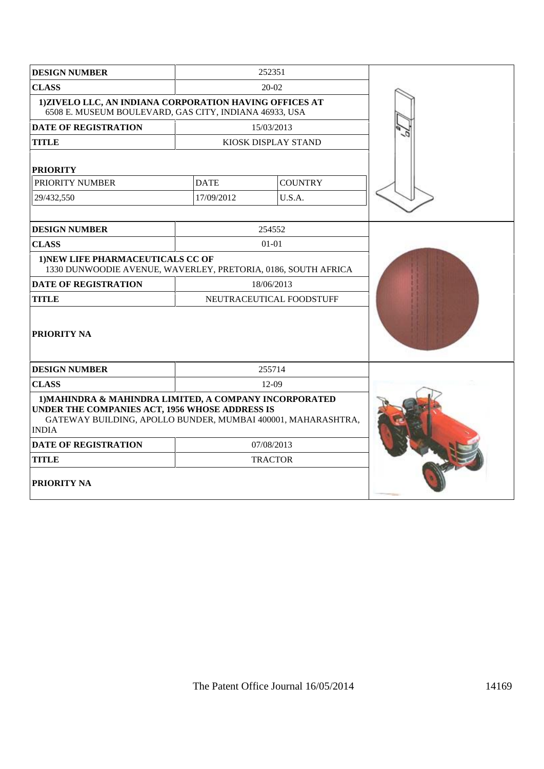| <b>DESIGN NUMBER</b>                                                                                                                                                                     |                          | 252351              |  |
|------------------------------------------------------------------------------------------------------------------------------------------------------------------------------------------|--------------------------|---------------------|--|
| <b>CLASS</b>                                                                                                                                                                             |                          | 20-02               |  |
| 1) ZIVELO LLC, AN INDIANA CORPORATION HAVING OFFICES AT<br>6508 E. MUSEUM BOULEVARD, GAS CITY, INDIANA 46933, USA                                                                        |                          |                     |  |
| <b>DATE OF REGISTRATION</b>                                                                                                                                                              |                          | 15/03/2013          |  |
| <b>TITLE</b>                                                                                                                                                                             |                          | KIOSK DISPLAY STAND |  |
| <b>PRIORITY</b>                                                                                                                                                                          |                          |                     |  |
| PRIORITY NUMBER                                                                                                                                                                          | <b>DATE</b>              | <b>COUNTRY</b>      |  |
| 29/432,550                                                                                                                                                                               | 17/09/2012               | U.S.A.              |  |
|                                                                                                                                                                                          |                          |                     |  |
| <b>DESIGN NUMBER</b>                                                                                                                                                                     |                          | 254552              |  |
| <b>CLASS</b>                                                                                                                                                                             |                          | $01 - 01$           |  |
| 1) NEW LIFE PHARMACEUTICALS CC OF<br>1330 DUNWOODIE AVENUE, WAVERLEY, PRETORIA, 0186, SOUTH AFRICA                                                                                       |                          |                     |  |
| <b>DATE OF REGISTRATION</b>                                                                                                                                                              |                          | 18/06/2013          |  |
| <b>TITLE</b>                                                                                                                                                                             | NEUTRACEUTICAL FOODSTUFF |                     |  |
| PRIORITY NA                                                                                                                                                                              |                          |                     |  |
| <b>DESIGN NUMBER</b>                                                                                                                                                                     |                          | 255714              |  |
| <b>CLASS</b>                                                                                                                                                                             |                          | $12-09$             |  |
| 1) MAHINDRA & MAHINDRA LIMITED, A COMPANY INCORPORATED<br>UNDER THE COMPANIES ACT, 1956 WHOSE ADDRESS IS<br>GATEWAY BUILDING, APOLLO BUNDER, MUMBAI 400001, MAHARASHTRA,<br><b>INDIA</b> |                          |                     |  |
| <b>DATE OF REGISTRATION</b>                                                                                                                                                              | 07/08/2013               |                     |  |
| <b>TITLE</b>                                                                                                                                                                             | <b>TRACTOR</b>           |                     |  |
| <b>PRIORITY NA</b>                                                                                                                                                                       |                          |                     |  |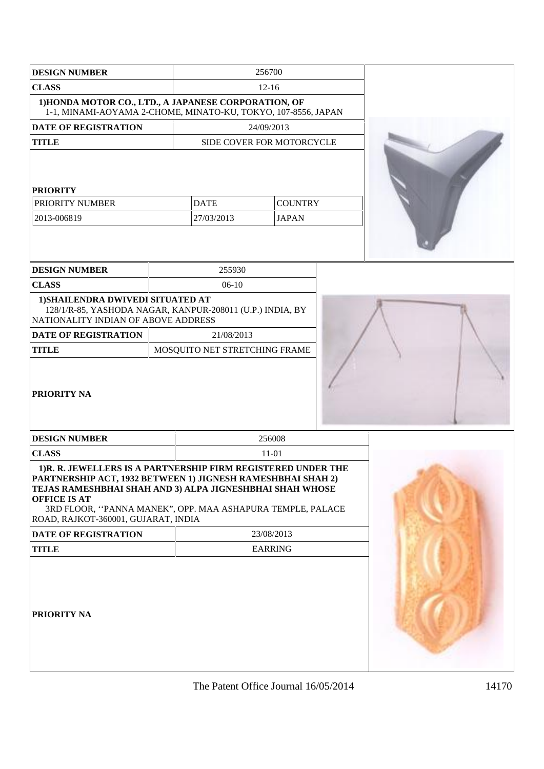| <b>DESIGN NUMBER</b>                                                                                                                                                                                                                                                                                                |                               | 256700                         |  |  |
|---------------------------------------------------------------------------------------------------------------------------------------------------------------------------------------------------------------------------------------------------------------------------------------------------------------------|-------------------------------|--------------------------------|--|--|
| <b>CLASS</b>                                                                                                                                                                                                                                                                                                        |                               | $12 - 16$                      |  |  |
| 1) HONDA MOTOR CO., LTD., A JAPANESE CORPORATION, OF<br>1-1, MINAMI-AOYAMA 2-CHOME, MINATO-KU, TOKYO, 107-8556, JAPAN                                                                                                                                                                                               |                               |                                |  |  |
| <b>DATE OF REGISTRATION</b>                                                                                                                                                                                                                                                                                         |                               | 24/09/2013                     |  |  |
| <b>TITLE</b>                                                                                                                                                                                                                                                                                                        |                               | SIDE COVER FOR MOTORCYCLE      |  |  |
| <b>PRIORITY</b><br>PRIORITY NUMBER<br>2013-006819                                                                                                                                                                                                                                                                   | <b>DATE</b><br>27/03/2013     | <b>COUNTRY</b><br><b>JAPAN</b> |  |  |
| <b>DESIGN NUMBER</b>                                                                                                                                                                                                                                                                                                | 255930                        |                                |  |  |
| <b>CLASS</b>                                                                                                                                                                                                                                                                                                        | $06-10$                       |                                |  |  |
| 1) SHAILENDRA DWIVEDI SITUATED AT<br>128/1/R-85, YASHODA NAGAR, KANPUR-208011 (U.P.) INDIA, BY<br>NATIONALITY INDIAN OF ABOVE ADDRESS                                                                                                                                                                               |                               |                                |  |  |
| DATE OF REGISTRATION                                                                                                                                                                                                                                                                                                | 21/08/2013                    |                                |  |  |
| <b>TITLE</b>                                                                                                                                                                                                                                                                                                        | MOSQUITO NET STRETCHING FRAME |                                |  |  |
| <b>PRIORITY NA</b>                                                                                                                                                                                                                                                                                                  |                               |                                |  |  |
| <b>DESIGN NUMBER</b>                                                                                                                                                                                                                                                                                                |                               | 256008                         |  |  |
| <b>CLASS</b>                                                                                                                                                                                                                                                                                                        |                               | 11-01                          |  |  |
| 1)R. R. JEWELLERS IS A PARTNERSHIP FIRM REGISTERED UNDER THE<br>PARTNERSHIP ACT, 1932 BETWEEN 1) JIGNESH RAMESHBHAI SHAH 2)<br>TEJAS RAMESHBHAI SHAH AND 3) ALPA JIGNESHBHAI SHAH WHOSE<br><b>OFFICE IS AT</b><br>3RD FLOOR, "PANNA MANEK", OPP. MAA ASHAPURA TEMPLE, PALACE<br>ROAD, RAJKOT-360001, GUJARAT, INDIA |                               |                                |  |  |
| DATE OF REGISTRATION                                                                                                                                                                                                                                                                                                | 23/08/2013                    |                                |  |  |
| <b>TITLE</b>                                                                                                                                                                                                                                                                                                        | <b>EARRING</b>                |                                |  |  |
| <b>PRIORITY NA</b>                                                                                                                                                                                                                                                                                                  |                               |                                |  |  |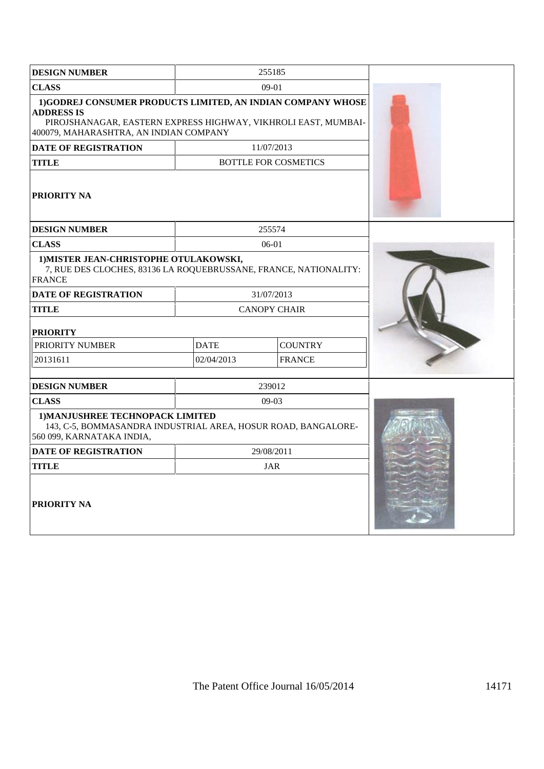| <b>DESIGN NUMBER</b>                                                                                                                                                                          |                     | 255185                      |  |  |  |
|-----------------------------------------------------------------------------------------------------------------------------------------------------------------------------------------------|---------------------|-----------------------------|--|--|--|
| <b>CLASS</b>                                                                                                                                                                                  |                     | $09-01$                     |  |  |  |
| 1) GODREJ CONSUMER PRODUCTS LIMITED, AN INDIAN COMPANY WHOSE<br><b>ADDRESS IS</b><br>PIROJSHANAGAR, EASTERN EXPRESS HIGHWAY, VIKHROLI EAST, MUMBAI-<br>400079, MAHARASHTRA, AN INDIAN COMPANY |                     |                             |  |  |  |
| <b>DATE OF REGISTRATION</b>                                                                                                                                                                   |                     | 11/07/2013                  |  |  |  |
| <b>TITLE</b>                                                                                                                                                                                  |                     | <b>BOTTLE FOR COSMETICS</b> |  |  |  |
| <b>PRIORITY NA</b>                                                                                                                                                                            |                     |                             |  |  |  |
| <b>DESIGN NUMBER</b>                                                                                                                                                                          |                     | 255574                      |  |  |  |
| <b>CLASS</b>                                                                                                                                                                                  |                     | 06-01                       |  |  |  |
| 1) MISTER JEAN-CHRISTOPHE OTULAKOWSKI,<br>7, RUE DES CLOCHES, 83136 LA ROQUEBRUSSANE, FRANCE, NATIONALITY:<br><b>FRANCE</b>                                                                   |                     |                             |  |  |  |
| <b>DATE OF REGISTRATION</b>                                                                                                                                                                   |                     | 31/07/2013                  |  |  |  |
| <b>TITLE</b>                                                                                                                                                                                  | <b>CANOPY CHAIR</b> |                             |  |  |  |
| <b>PRIORITY</b>                                                                                                                                                                               |                     |                             |  |  |  |
| PRIORITY NUMBER                                                                                                                                                                               | <b>DATE</b>         | <b>COUNTRY</b>              |  |  |  |
| 20131611                                                                                                                                                                                      | 02/04/2013          | <b>FRANCE</b>               |  |  |  |
|                                                                                                                                                                                               |                     |                             |  |  |  |
| <b>DESIGN NUMBER</b>                                                                                                                                                                          |                     | 239012                      |  |  |  |
| <b>CLASS</b>                                                                                                                                                                                  | 09-03               |                             |  |  |  |
| 1) MANJUSHREE TECHNOPACK LIMITED<br>143, C-5, BOMMASANDRA INDUSTRIAL AREA, HOSUR ROAD, BANGALORE-<br>560 099, KARNATAKA INDIA,                                                                |                     |                             |  |  |  |
| <b>DATE OF REGISTRATION</b>                                                                                                                                                                   |                     | 29/08/2011                  |  |  |  |
| <b>TITLE</b>                                                                                                                                                                                  |                     | JAR                         |  |  |  |
| <b>PRIORITY NA</b>                                                                                                                                                                            |                     |                             |  |  |  |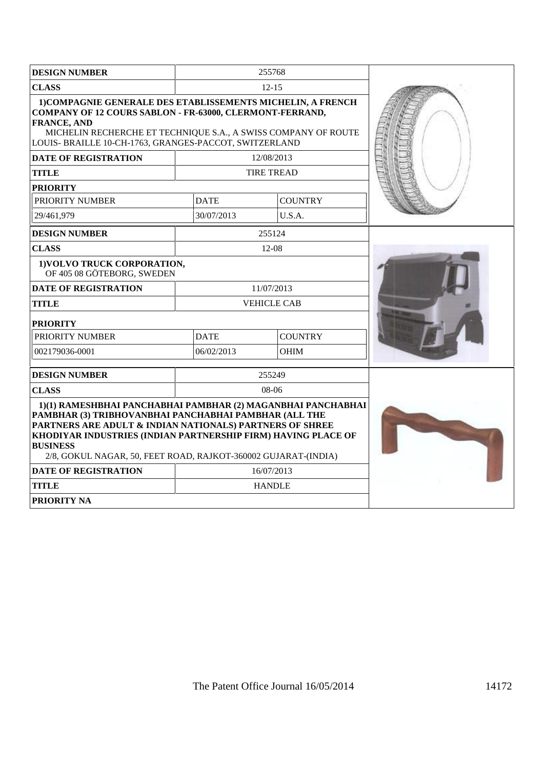| <b>DESIGN NUMBER</b>                                                                                                                                                                                                                                                                                                                    |             | 255768             |  |
|-----------------------------------------------------------------------------------------------------------------------------------------------------------------------------------------------------------------------------------------------------------------------------------------------------------------------------------------|-------------|--------------------|--|
| <b>CLASS</b>                                                                                                                                                                                                                                                                                                                            |             | $12 - 15$          |  |
| 1) COMPAGNIE GENERALE DES ETABLISSEMENTS MICHELIN, A FRENCH<br>COMPANY OF 12 COURS SABLON - FR-63000, CLERMONT-FERRAND,<br><b>FRANCE, AND</b><br>MICHELIN RECHERCHE ET TECHNIQUE S.A., A SWISS COMPANY OF ROUTE<br>LOUIS- BRAILLE 10-CH-1763, GRANGES-PACCOT, SWITZERLAND                                                               |             |                    |  |
| <b>DATE OF REGISTRATION</b>                                                                                                                                                                                                                                                                                                             |             | 12/08/2013         |  |
| <b>TITLE</b>                                                                                                                                                                                                                                                                                                                            |             | <b>TIRE TREAD</b>  |  |
| <b>PRIORITY</b>                                                                                                                                                                                                                                                                                                                         |             |                    |  |
| PRIORITY NUMBER                                                                                                                                                                                                                                                                                                                         | <b>DATE</b> | <b>COUNTRY</b>     |  |
| 29/461,979                                                                                                                                                                                                                                                                                                                              | 30/07/2013  | U.S.A.             |  |
| <b>DESIGN NUMBER</b>                                                                                                                                                                                                                                                                                                                    |             | 255124             |  |
| <b>CLASS</b>                                                                                                                                                                                                                                                                                                                            |             | $12-08$            |  |
| 1) VOLVO TRUCK CORPORATION,<br>OF 405 08 GÖTEBORG, SWEDEN                                                                                                                                                                                                                                                                               |             |                    |  |
| <b>DATE OF REGISTRATION</b>                                                                                                                                                                                                                                                                                                             |             | 11/07/2013         |  |
| <b>TITLE</b>                                                                                                                                                                                                                                                                                                                            |             | <b>VEHICLE CAB</b> |  |
| <b>PRIORITY</b>                                                                                                                                                                                                                                                                                                                         |             |                    |  |
| PRIORITY NUMBER                                                                                                                                                                                                                                                                                                                         | <b>DATE</b> | <b>COUNTRY</b>     |  |
| 002179036-0001                                                                                                                                                                                                                                                                                                                          | 06/02/2013  | <b>OHIM</b>        |  |
| <b>DESIGN NUMBER</b>                                                                                                                                                                                                                                                                                                                    |             | 255249             |  |
| <b>CLASS</b>                                                                                                                                                                                                                                                                                                                            |             | $08-06$            |  |
| 1)(1) RAMESHBHAI PANCHABHAI PAMBHAR (2) MAGANBHAI PANCHABHAI<br>PAMBHAR (3) TRIBHOVANBHAI PANCHABHAI PAMBHAR (ALL THE<br>PARTNERS ARE ADULT & INDIAN NATIONALS) PARTNERS OF SHREE<br>KHODIYAR INDUSTRIES (INDIAN PARTNERSHIP FIRM) HAVING PLACE OF<br><b>BUSINESS</b><br>2/8, GOKUL NAGAR, 50, FEET ROAD, RAJKOT-360002 GUJARAT-(INDIA) |             |                    |  |
| <b>DATE OF REGISTRATION</b>                                                                                                                                                                                                                                                                                                             |             | 16/07/2013         |  |
| <b>TITLE</b>                                                                                                                                                                                                                                                                                                                            |             | <b>HANDLE</b>      |  |
| <b>PRIORITY NA</b>                                                                                                                                                                                                                                                                                                                      |             |                    |  |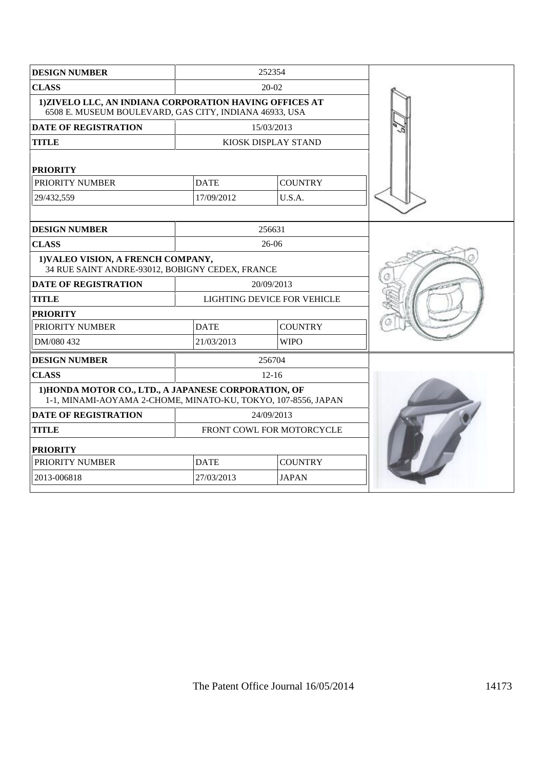| <b>DESIGN NUMBER</b>                                                                                                  |                               | 252354                      |  |
|-----------------------------------------------------------------------------------------------------------------------|-------------------------------|-----------------------------|--|
| <b>CLASS</b>                                                                                                          |                               | 20-02                       |  |
| 1) ZIVELO LLC, AN INDIANA CORPORATION HAVING OFFICES AT<br>6508 E. MUSEUM BOULEVARD, GAS CITY, INDIANA 46933, USA     |                               |                             |  |
| <b>DATE OF REGISTRATION</b>                                                                                           |                               | 15/03/2013                  |  |
| <b>TITLE</b>                                                                                                          |                               | KIOSK DISPLAY STAND         |  |
| <b>PRIORITY</b>                                                                                                       |                               |                             |  |
| PRIORITY NUMBER                                                                                                       | <b>DATE</b>                   | <b>COUNTRY</b>              |  |
| 29/432,559                                                                                                            | 17/09/2012                    | U.S.A.                      |  |
|                                                                                                                       |                               |                             |  |
| <b>DESIGN NUMBER</b>                                                                                                  |                               | 256631                      |  |
| <b>CLASS</b>                                                                                                          |                               | 26-06                       |  |
| 1) VALEO VISION, A FRENCH COMPANY,<br>34 RUE SAINT ANDRE-93012, BOBIGNY CEDEX, FRANCE                                 |                               |                             |  |
| <b>DATE OF REGISTRATION</b>                                                                                           |                               | 20/09/2013                  |  |
| <b>TITLE</b>                                                                                                          |                               | LIGHTING DEVICE FOR VEHICLE |  |
| <b>PRIORITY</b>                                                                                                       |                               |                             |  |
| PRIORITY NUMBER                                                                                                       | <b>COUNTRY</b><br><b>DATE</b> |                             |  |
| DM/080 432                                                                                                            | 21/03/2013                    | <b>WIPO</b>                 |  |
| <b>DESIGN NUMBER</b>                                                                                                  |                               | 256704                      |  |
| <b>CLASS</b>                                                                                                          |                               | $12 - 16$                   |  |
| 1) HONDA MOTOR CO., LTD., A JAPANESE CORPORATION, OF<br>1-1, MINAMI-AOYAMA 2-CHOME, MINATO-KU, TOKYO, 107-8556, JAPAN |                               |                             |  |
| DATE OF REGISTRATION                                                                                                  |                               | 24/09/2013                  |  |
| <b>TITLE</b>                                                                                                          |                               | FRONT COWL FOR MOTORCYCLE   |  |
| <b>PRIORITY</b>                                                                                                       |                               |                             |  |
| PRIORITY NUMBER                                                                                                       | <b>DATE</b>                   | <b>COUNTRY</b>              |  |
| 2013-006818                                                                                                           | 27/03/2013                    | <b>JAPAN</b>                |  |
|                                                                                                                       |                               |                             |  |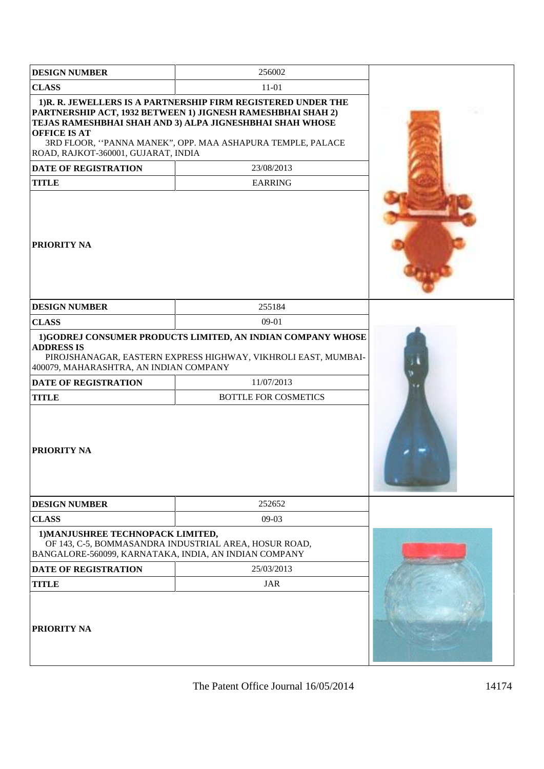| <b>DESIGN NUMBER</b>                                                                       | 256002                                                                                                                                                                                                                                                |  |
|--------------------------------------------------------------------------------------------|-------------------------------------------------------------------------------------------------------------------------------------------------------------------------------------------------------------------------------------------------------|--|
| <b>CLASS</b>                                                                               | $11-01$                                                                                                                                                                                                                                               |  |
| <b>OFFICE IS AT</b><br>ROAD, RAJKOT-360001, GUJARAT, INDIA                                 | 1)R. R. JEWELLERS IS A PARTNERSHIP FIRM REGISTERED UNDER THE<br>PARTNERSHIP ACT, 1932 BETWEEN 1) JIGNESH RAMESHBHAI SHAH 2)<br>TEJAS RAMESHBHAI SHAH AND 3) ALPA JIGNESHBHAI SHAH WHOSE<br>3RD FLOOR, "PANNA MANEK", OPP. MAA ASHAPURA TEMPLE, PALACE |  |
| <b>DATE OF REGISTRATION</b>                                                                | 23/08/2013                                                                                                                                                                                                                                            |  |
| <b>TITLE</b>                                                                               | <b>EARRING</b>                                                                                                                                                                                                                                        |  |
| <b>PRIORITY NA</b>                                                                         |                                                                                                                                                                                                                                                       |  |
| <b>DESIGN NUMBER</b>                                                                       | 255184                                                                                                                                                                                                                                                |  |
| <b>CLASS</b>                                                                               | 09-01                                                                                                                                                                                                                                                 |  |
| <b>ADDRESS IS</b><br>400079, MAHARASHTRA, AN INDIAN COMPANY<br><b>DATE OF REGISTRATION</b> | 1)GODREJ CONSUMER PRODUCTS LIMITED, AN INDIAN COMPANY WHOSE<br>PIROJSHANAGAR, EASTERN EXPRESS HIGHWAY, VIKHROLI EAST, MUMBAI-<br>11/07/2013                                                                                                           |  |
| <b>TITLE</b>                                                                               | <b>BOTTLE FOR COSMETICS</b>                                                                                                                                                                                                                           |  |
| <b>PRIORITY NA</b>                                                                         |                                                                                                                                                                                                                                                       |  |
| <b>DESIGN NUMBER</b>                                                                       | 252652                                                                                                                                                                                                                                                |  |
| <b>CLASS</b>                                                                               | $09-03$                                                                                                                                                                                                                                               |  |
| 1) MANJUSHREE TECHNOPACK LIMITED,<br>BANGALORE-560099, KARNATAKA, INDIA, AN INDIAN COMPANY | OF 143, C-5, BOMMASANDRA INDUSTRIAL AREA, HOSUR ROAD,                                                                                                                                                                                                 |  |
| DATE OF REGISTRATION                                                                       | 25/03/2013                                                                                                                                                                                                                                            |  |
| <b>TITLE</b>                                                                               | <b>JAR</b>                                                                                                                                                                                                                                            |  |
| <b>PRIORITY NA</b>                                                                         |                                                                                                                                                                                                                                                       |  |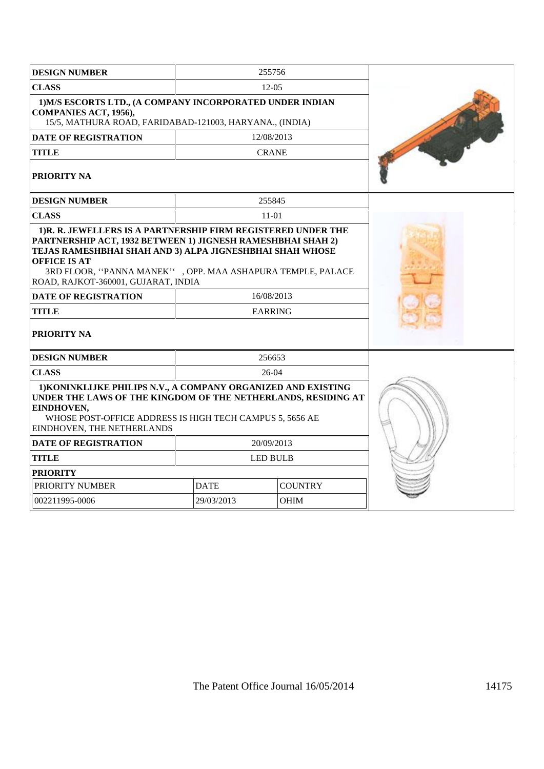| <b>DESIGN NUMBER</b>                                                                                                                                                                                                                                                                                                                                |             | 255756          |  |
|-----------------------------------------------------------------------------------------------------------------------------------------------------------------------------------------------------------------------------------------------------------------------------------------------------------------------------------------------------|-------------|-----------------|--|
| <b>CLASS</b>                                                                                                                                                                                                                                                                                                                                        |             | $12 - 05$       |  |
| 1) M/S ESCORTS LTD., (A COMPANY INCORPORATED UNDER INDIAN<br>COMPANIES ACT, 1956),<br>15/5, MATHURA ROAD, FARIDABAD-121003, HARYANA., (INDIA)                                                                                                                                                                                                       |             |                 |  |
| <b>DATE OF REGISTRATION</b>                                                                                                                                                                                                                                                                                                                         |             | 12/08/2013      |  |
| <b>TITLE</b>                                                                                                                                                                                                                                                                                                                                        |             | <b>CRANE</b>    |  |
| <b>PRIORITY NA</b>                                                                                                                                                                                                                                                                                                                                  |             |                 |  |
| <b>DESIGN NUMBER</b>                                                                                                                                                                                                                                                                                                                                |             | 255845          |  |
| <b>CLASS</b>                                                                                                                                                                                                                                                                                                                                        |             | 11-01           |  |
| 1) R. R. JEWELLERS IS A PARTNERSHIP FIRM REGISTERED UNDER THE<br>PARTNERSHIP ACT, 1932 BETWEEN 1) JIGNESH RAMESHBHAI SHAH 2)<br>TEJAS RAMESHBHAI SHAH AND 3) ALPA JIGNESHBHAI SHAH WHOSE<br><b>OFFICE IS AT</b><br>3RD FLOOR, "PANNA MANEK", OPP. MAA ASHAPURA TEMPLE, PALACE<br>ROAD, RAJKOT-360001, GUJARAT, INDIA<br><b>DATE OF REGISTRATION</b> |             |                 |  |
| <b>TITLE</b>                                                                                                                                                                                                                                                                                                                                        |             | <b>EARRING</b>  |  |
| <b>PRIORITY NA</b>                                                                                                                                                                                                                                                                                                                                  |             |                 |  |
| <b>DESIGN NUMBER</b>                                                                                                                                                                                                                                                                                                                                |             | 256653          |  |
| <b>CLASS</b>                                                                                                                                                                                                                                                                                                                                        |             | $26-04$         |  |
| 1) KONINKLIJKE PHILIPS N.V., A COMPANY ORGANIZED AND EXISTING<br>UNDER THE LAWS OF THE KINGDOM OF THE NETHERLANDS, RESIDING AT<br><b>EINDHOVEN,</b><br>WHOSE POST-OFFICE ADDRESS IS HIGH TECH CAMPUS 5, 5656 AE<br>EINDHOVEN, THE NETHERLANDS                                                                                                       |             |                 |  |
| <b>DATE OF REGISTRATION</b>                                                                                                                                                                                                                                                                                                                         |             | 20/09/2013      |  |
| <b>TITLE</b>                                                                                                                                                                                                                                                                                                                                        |             | <b>LED BULB</b> |  |
| <b>PRIORITY</b>                                                                                                                                                                                                                                                                                                                                     |             |                 |  |
| PRIORITY NUMBER                                                                                                                                                                                                                                                                                                                                     | <b>DATE</b> | <b>COUNTRY</b>  |  |
| 002211995-0006                                                                                                                                                                                                                                                                                                                                      | 29/03/2013  | <b>OHIM</b>     |  |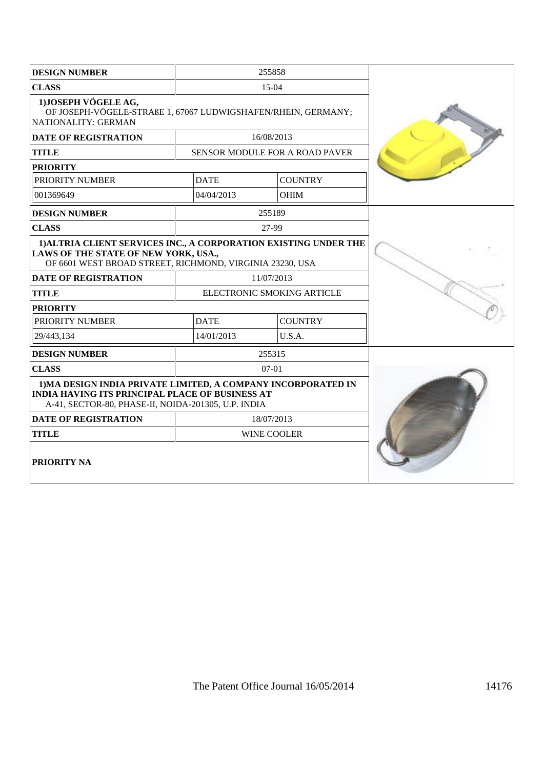| <b>DESIGN NUMBER</b>                                                                                                                                                           |             | 255858                         |  |
|--------------------------------------------------------------------------------------------------------------------------------------------------------------------------------|-------------|--------------------------------|--|
| <b>CLASS</b>                                                                                                                                                                   |             | $15-04$                        |  |
| 1) JOSEPH VÖGELE AG,<br>OF JOSEPH-VÖGELE-STRAßE 1, 67067 LUDWIGSHAFEN/RHEIN, GERMANY;<br>NATIONALITY: GERMAN                                                                   |             |                                |  |
| <b>DATE OF REGISTRATION</b>                                                                                                                                                    |             | 16/08/2013                     |  |
| <b>TITLE</b>                                                                                                                                                                   |             | SENSOR MODULE FOR A ROAD PAVER |  |
| <b>PRIORITY</b>                                                                                                                                                                |             |                                |  |
| PRIORITY NUMBER                                                                                                                                                                | <b>DATE</b> | <b>COUNTRY</b>                 |  |
| 001369649                                                                                                                                                                      | 04/04/2013  | <b>OHIM</b>                    |  |
| <b>DESIGN NUMBER</b>                                                                                                                                                           |             | 255189                         |  |
| <b>CLASS</b>                                                                                                                                                                   |             | 27-99                          |  |
| 1) ALTRIA CLIENT SERVICES INC., A CORPORATION EXISTING UNDER THE<br>LAWS OF THE STATE OF NEW YORK, USA.,<br>OF 6601 WEST BROAD STREET, RICHMOND, VIRGINIA 23230, USA           |             |                                |  |
| <b>DATE OF REGISTRATION</b>                                                                                                                                                    |             | 11/07/2013                     |  |
| <b>TITLE</b>                                                                                                                                                                   |             | ELECTRONIC SMOKING ARTICLE     |  |
| <b>PRIORITY</b>                                                                                                                                                                |             |                                |  |
| PRIORITY NUMBER                                                                                                                                                                | <b>DATE</b> | <b>COUNTRY</b>                 |  |
| 29/443,134                                                                                                                                                                     | 14/01/2013  | U.S.A.                         |  |
| <b>DESIGN NUMBER</b>                                                                                                                                                           |             | 255315                         |  |
| <b>CLASS</b>                                                                                                                                                                   |             | $07-01$                        |  |
| 1) MA DESIGN INDIA PRIVATE LIMITED, A COMPANY INCORPORATED IN<br><b>INDIA HAVING ITS PRINCIPAL PLACE OF BUSINESS AT</b><br>A-41, SECTOR-80, PHASE-II, NOIDA-201305, U.P. INDIA |             |                                |  |
| <b>DATE OF REGISTRATION</b>                                                                                                                                                    |             | 18/07/2013                     |  |
| <b>TITLE</b>                                                                                                                                                                   |             | <b>WINE COOLER</b>             |  |
| <b>PRIORITY NA</b>                                                                                                                                                             |             |                                |  |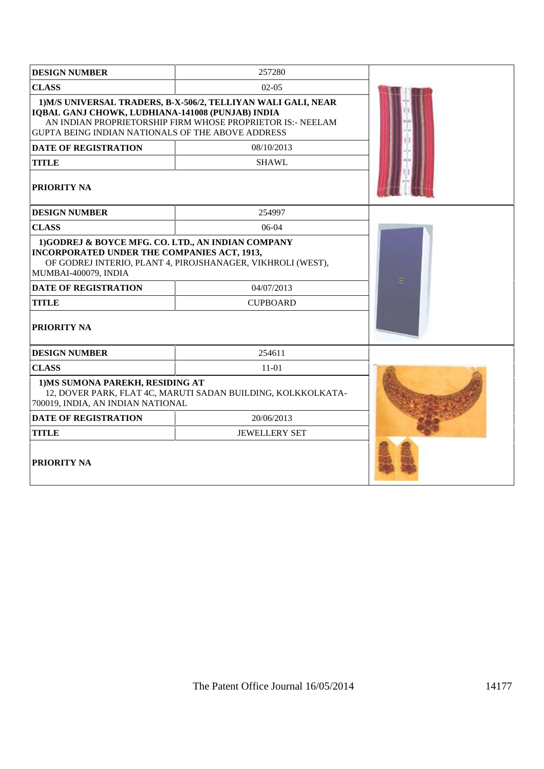| <b>DESIGN NUMBER</b>                                                                                                                                                                                                                                                | 257280                                                                                       |  |
|---------------------------------------------------------------------------------------------------------------------------------------------------------------------------------------------------------------------------------------------------------------------|----------------------------------------------------------------------------------------------|--|
| <b>CLASS</b>                                                                                                                                                                                                                                                        | $02 - 05$                                                                                    |  |
| 1) M/S UNIVERSAL TRADERS, B-X-506/2, TELLIYAN WALI GALI, NEAR<br>IQBAL GANJ CHOWK, LUDHIANA-141008 (PUNJAB) INDIA<br>AN INDIAN PROPRIETORSHIP FIRM WHOSE PROPRIETOR IS:- NEELAM<br>GUPTA BEING INDIAN NATIONALS OF THE ABOVE ADDRESS<br><b>DATE OF REGISTRATION</b> |                                                                                              |  |
| <b>TITLE</b>                                                                                                                                                                                                                                                        | 08/10/2013<br><b>SHAWL</b>                                                                   |  |
| PRIORITY NA                                                                                                                                                                                                                                                         |                                                                                              |  |
| <b>DESIGN NUMBER</b>                                                                                                                                                                                                                                                | 254997                                                                                       |  |
| <b>CLASS</b>                                                                                                                                                                                                                                                        | $06-04$                                                                                      |  |
| 1)GODREJ & BOYCE MFG. CO. LTD., AN INDIAN COMPANY<br>INCORPORATED UNDER THE COMPANIES ACT, 1913,<br>MUMBAI-400079, INDIA<br><b>DATE OF REGISTRATION</b><br><b>TITLE</b><br>PRIORITY NA                                                                              | OF GODREJ INTERIO, PLANT 4, PIROJSHANAGER, VIKHROLI (WEST),<br>04/07/2013<br><b>CUPBOARD</b> |  |
| <b>DESIGN NUMBER</b>                                                                                                                                                                                                                                                | 254611                                                                                       |  |
| <b>CLASS</b>                                                                                                                                                                                                                                                        | $11-01$                                                                                      |  |
| 1) MS SUMONA PAREKH, RESIDING AT<br>12, DOVER PARK, FLAT 4C, MARUTI SADAN BUILDING, KOLKKOLKATA-<br>700019, INDIA, AN INDIAN NATIONAL                                                                                                                               |                                                                                              |  |
| <b>DATE OF REGISTRATION</b>                                                                                                                                                                                                                                         | 20/06/2013                                                                                   |  |
| <b>TITLE</b>                                                                                                                                                                                                                                                        | <b>JEWELLERY SET</b>                                                                         |  |
| <b>PRIORITY NA</b>                                                                                                                                                                                                                                                  |                                                                                              |  |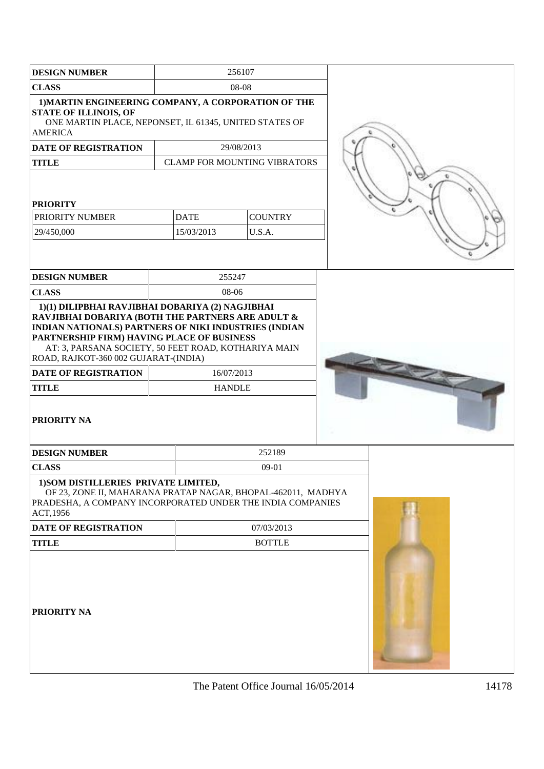| <b>DESIGN NUMBER</b>                                                                                                                                                                                                                                     |       | 256107                              |            |                |  |  |  |
|----------------------------------------------------------------------------------------------------------------------------------------------------------------------------------------------------------------------------------------------------------|-------|-------------------------------------|------------|----------------|--|--|--|
| <b>CLASS</b>                                                                                                                                                                                                                                             | 08-08 |                                     |            |                |  |  |  |
| 1) MARTIN ENGINEERING COMPANY, A CORPORATION OF THE<br><b>STATE OF ILLINOIS, OF</b><br>ONE MARTIN PLACE, NEPONSET, IL 61345, UNITED STATES OF<br><b>AMERICA</b>                                                                                          |       |                                     |            |                |  |  |  |
| <b>DATE OF REGISTRATION</b>                                                                                                                                                                                                                              |       |                                     | 29/08/2013 |                |  |  |  |
| <b>TITLE</b>                                                                                                                                                                                                                                             |       | <b>CLAMP FOR MOUNTING VIBRATORS</b> |            |                |  |  |  |
|                                                                                                                                                                                                                                                          |       |                                     |            |                |  |  |  |
| <b>PRIORITY</b><br>PRIORITY NUMBER                                                                                                                                                                                                                       |       | <b>DATE</b>                         |            | <b>COUNTRY</b> |  |  |  |
| 29/450,000                                                                                                                                                                                                                                               |       | 15/03/2013                          |            | U.S.A.         |  |  |  |
|                                                                                                                                                                                                                                                          |       |                                     |            |                |  |  |  |
| <b>DESIGN NUMBER</b>                                                                                                                                                                                                                                     |       | 255247                              |            |                |  |  |  |
| <b>CLASS</b><br>1)(1) DILIPBHAI RAVJIBHAI DOBARIYA (2) NAGJIBHAI                                                                                                                                                                                         |       | $08-06$                             |            |                |  |  |  |
| RAVJIBHAI DOBARIYA (BOTH THE PARTNERS ARE ADULT &<br>INDIAN NATIONALS) PARTNERS OF NIKI INDUSTRIES (INDIAN<br>PARTNERSHIP FIRM) HAVING PLACE OF BUSINESS<br>AT: 3, PARSANA SOCIETY, 50 FEET ROAD, KOTHARIYA MAIN<br>ROAD, RAJKOT-360 002 GUJARAT-(INDIA) |       |                                     |            |                |  |  |  |
| <b>DATE OF REGISTRATION</b>                                                                                                                                                                                                                              |       | 16/07/2013                          |            |                |  |  |  |
| <b>TITLE</b>                                                                                                                                                                                                                                             |       | <b>HANDLE</b>                       |            |                |  |  |  |
| <b>PRIORITY NA</b>                                                                                                                                                                                                                                       |       |                                     |            |                |  |  |  |
| <b>DESIGN NUMBER</b>                                                                                                                                                                                                                                     |       |                                     |            | 252189         |  |  |  |
| <b>CLASS</b>                                                                                                                                                                                                                                             |       |                                     |            | 09-01          |  |  |  |
| 1) SOM DISTILLERIES PRIVATE LIMITED,<br>OF 23, ZONE II, MAHARANA PRATAP NAGAR, BHOPAL-462011, MADHYA<br>PRADESHA, A COMPANY INCORPORATED UNDER THE INDIA COMPANIES<br>ACT,1956                                                                           |       |                                     |            |                |  |  |  |
| <b>DATE OF REGISTRATION</b>                                                                                                                                                                                                                              |       |                                     |            | 07/03/2013     |  |  |  |
| <b>TITLE</b>                                                                                                                                                                                                                                             |       |                                     |            | <b>BOTTLE</b>  |  |  |  |
| <b>PRIORITY NA</b>                                                                                                                                                                                                                                       |       |                                     |            |                |  |  |  |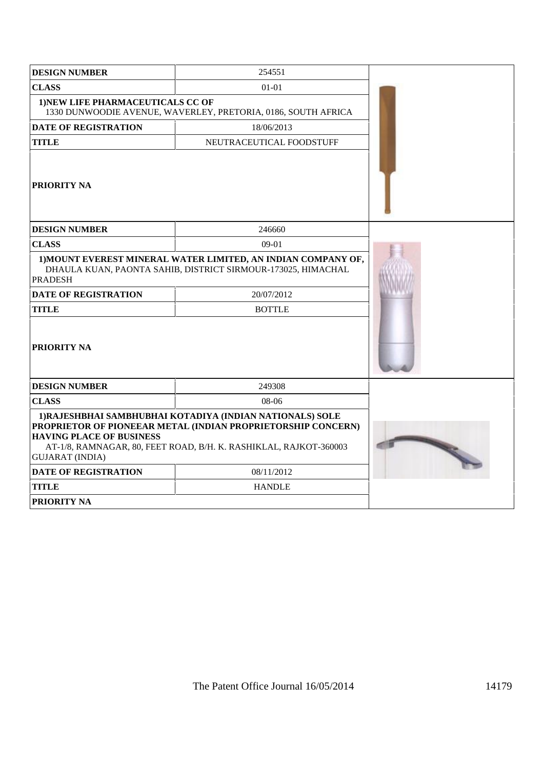| <b>DESIGN NUMBER</b>                                      | 254551                                                                                                                                                                                         |  |
|-----------------------------------------------------------|------------------------------------------------------------------------------------------------------------------------------------------------------------------------------------------------|--|
| <b>CLASS</b>                                              | $01 - 01$                                                                                                                                                                                      |  |
| 1) NEW LIFE PHARMACEUTICALS CC OF                         | 1330 DUNWOODIE AVENUE, WAVERLEY, PRETORIA, 0186, SOUTH AFRICA                                                                                                                                  |  |
| <b>DATE OF REGISTRATION</b>                               | 18/06/2013                                                                                                                                                                                     |  |
| <b>TITLE</b>                                              | NEUTRACEUTICAL FOODSTUFF                                                                                                                                                                       |  |
| PRIORITY NA                                               |                                                                                                                                                                                                |  |
| <b>DESIGN NUMBER</b>                                      | 246660                                                                                                                                                                                         |  |
| <b>CLASS</b>                                              | $09-01$                                                                                                                                                                                        |  |
| <b>PRADESH</b>                                            | 1) MOUNT EVEREST MINERAL WATER LIMITED, AN INDIAN COMPANY OF,<br>DHAULA KUAN, PAONTA SAHIB, DISTRICT SIRMOUR-173025, HIMACHAL                                                                  |  |
| <b>DATE OF REGISTRATION</b>                               | 20/07/2012                                                                                                                                                                                     |  |
| <b>TITLE</b>                                              | <b>BOTTLE</b>                                                                                                                                                                                  |  |
| PRIORITY NA                                               |                                                                                                                                                                                                |  |
| <b>DESIGN NUMBER</b>                                      | 249308                                                                                                                                                                                         |  |
| <b>CLASS</b>                                              | 08-06                                                                                                                                                                                          |  |
| <b>HAVING PLACE OF BUSINESS</b><br><b>GUJARAT (INDIA)</b> | 1) RAJESHBHAI SAMBHUBHAI KOTADIYA (INDIAN NATIONALS) SOLE<br>PROPRIETOR OF PIONEEAR METAL (INDIAN PROPRIETORSHIP CONCERN)<br>AT-1/8, RAMNAGAR, 80, FEET ROAD, B/H. K. RASHIKLAL, RAJKOT-360003 |  |
| <b>DATE OF REGISTRATION</b>                               | 08/11/2012                                                                                                                                                                                     |  |
| <b>TITLE</b>                                              | <b>HANDLE</b>                                                                                                                                                                                  |  |
| PRIORITY NA                                               |                                                                                                                                                                                                |  |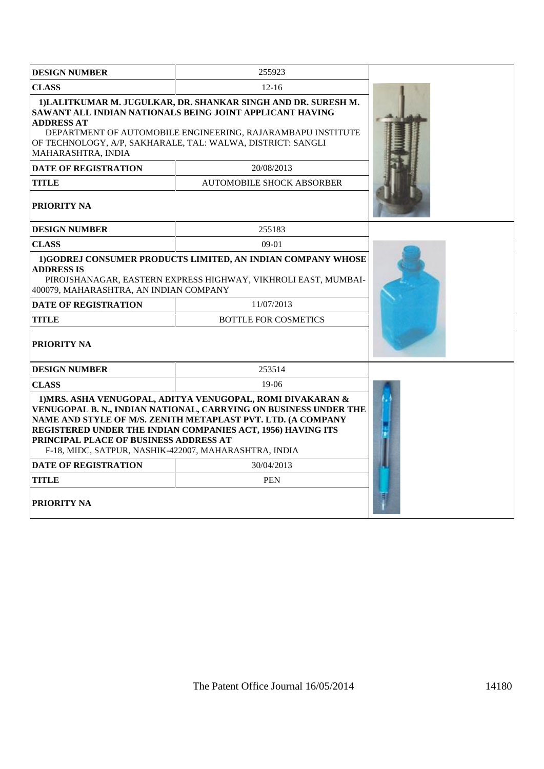| <b>DESIGN NUMBER</b>                                                                                                                                                                                                                                                                                                                                             | 255923                                                                                                                                                                                                                                                   |  |
|------------------------------------------------------------------------------------------------------------------------------------------------------------------------------------------------------------------------------------------------------------------------------------------------------------------------------------------------------------------|----------------------------------------------------------------------------------------------------------------------------------------------------------------------------------------------------------------------------------------------------------|--|
| <b>CLASS</b>                                                                                                                                                                                                                                                                                                                                                     |                                                                                                                                                                                                                                                          |  |
| <b>ADDRESS AT</b><br>MAHARASHTRA, INDIA                                                                                                                                                                                                                                                                                                                          | 1) LALITKUMAR M. JUGULKAR, DR. SHANKAR SINGH AND DR. SURESH M.<br>SAWANT ALL INDIAN NATIONALS BEING JOINT APPLICANT HAVING<br>DEPARTMENT OF AUTOMOBILE ENGINEERING, RAJARAMBAPU INSTITUTE<br>OF TECHNOLOGY, A/P, SAKHARALE, TAL: WALWA, DISTRICT: SANGLI |  |
| <b>DATE OF REGISTRATION</b>                                                                                                                                                                                                                                                                                                                                      | 20/08/2013                                                                                                                                                                                                                                               |  |
| <b>TITLE</b>                                                                                                                                                                                                                                                                                                                                                     | <b>AUTOMOBILE SHOCK ABSORBER</b>                                                                                                                                                                                                                         |  |
| <b>PRIORITY NA</b>                                                                                                                                                                                                                                                                                                                                               |                                                                                                                                                                                                                                                          |  |
| <b>DESIGN NUMBER</b>                                                                                                                                                                                                                                                                                                                                             | 255183                                                                                                                                                                                                                                                   |  |
| <b>CLASS</b>                                                                                                                                                                                                                                                                                                                                                     | $09-01$                                                                                                                                                                                                                                                  |  |
| 1) GODREJ CONSUMER PRODUCTS LIMITED, AN INDIAN COMPANY WHOSE<br><b>ADDRESS IS</b><br>PIROJSHANAGAR, EASTERN EXPRESS HIGHWAY, VIKHROLI EAST, MUMBAI-<br>400079, MAHARASHTRA, AN INDIAN COMPANY                                                                                                                                                                    |                                                                                                                                                                                                                                                          |  |
| <b>DATE OF REGISTRATION</b>                                                                                                                                                                                                                                                                                                                                      | 11/07/2013                                                                                                                                                                                                                                               |  |
| <b>TITLE</b>                                                                                                                                                                                                                                                                                                                                                     | <b>BOTTLE FOR COSMETICS</b>                                                                                                                                                                                                                              |  |
| <b>PRIORITY NA</b>                                                                                                                                                                                                                                                                                                                                               |                                                                                                                                                                                                                                                          |  |
| <b>DESIGN NUMBER</b>                                                                                                                                                                                                                                                                                                                                             | 253514                                                                                                                                                                                                                                                   |  |
| <b>CLASS</b>                                                                                                                                                                                                                                                                                                                                                     | 19-06                                                                                                                                                                                                                                                    |  |
| 1) MRS. ASHA VENUGOPAL, ADITYA VENUGOPAL, ROMI DIVAKARAN &<br>VENUGOPAL B. N., INDIAN NATIONAL, CARRYING ON BUSINESS UNDER THE<br>NAME AND STYLE OF M/S. ZENITH METAPLAST PVT. LTD. (A COMPANY<br>REGISTERED UNDER THE INDIAN COMPANIES ACT, 1956) HAVING ITS<br>PRINCIPAL PLACE OF BUSINESS ADDRESS AT<br>F-18, MIDC, SATPUR, NASHIK-422007, MAHARASHTRA, INDIA |                                                                                                                                                                                                                                                          |  |
| <b>DATE OF REGISTRATION</b>                                                                                                                                                                                                                                                                                                                                      | 30/04/2013                                                                                                                                                                                                                                               |  |
| <b>TITLE</b>                                                                                                                                                                                                                                                                                                                                                     | <b>PEN</b>                                                                                                                                                                                                                                               |  |
| <b>PRIORITY NA</b>                                                                                                                                                                                                                                                                                                                                               |                                                                                                                                                                                                                                                          |  |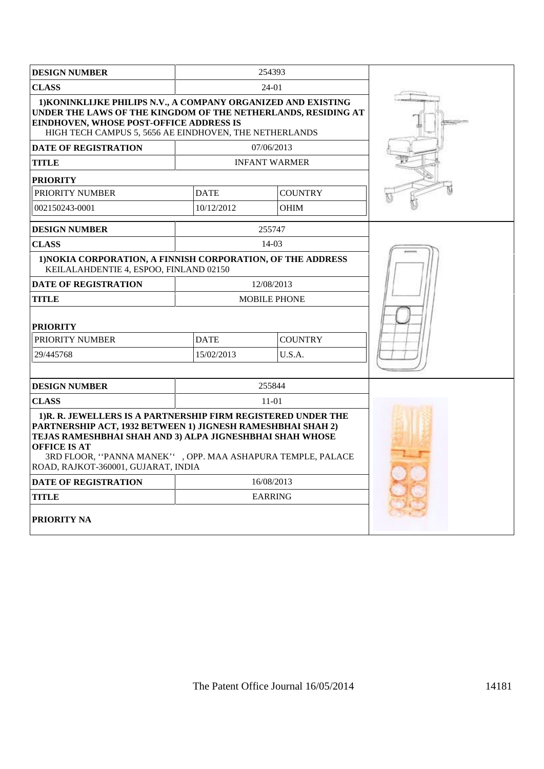| <b>DESIGN NUMBER</b>                                                                                                                                                                                                                                                                                                 |                     | 254393               |  |
|----------------------------------------------------------------------------------------------------------------------------------------------------------------------------------------------------------------------------------------------------------------------------------------------------------------------|---------------------|----------------------|--|
| <b>CLASS</b>                                                                                                                                                                                                                                                                                                         |                     | $24-01$              |  |
| 1) KONINKLIJKE PHILIPS N.V., A COMPANY ORGANIZED AND EXISTING<br>UNDER THE LAWS OF THE KINGDOM OF THE NETHERLANDS, RESIDING AT<br>EINDHOVEN, WHOSE POST-OFFICE ADDRESS IS<br>HIGH TECH CAMPUS 5, 5656 AE EINDHOVEN, THE NETHERLANDS                                                                                  |                     |                      |  |
| <b>DATE OF REGISTRATION</b>                                                                                                                                                                                                                                                                                          |                     | 07/06/2013           |  |
| <b>TITLE</b>                                                                                                                                                                                                                                                                                                         |                     | <b>INFANT WARMER</b> |  |
| <b>PRIORITY</b>                                                                                                                                                                                                                                                                                                      |                     |                      |  |
| PRIORITY NUMBER                                                                                                                                                                                                                                                                                                      | <b>DATE</b>         | <b>COUNTRY</b>       |  |
| 002150243-0001                                                                                                                                                                                                                                                                                                       | 10/12/2012          | <b>OHIM</b>          |  |
| <b>DESIGN NUMBER</b>                                                                                                                                                                                                                                                                                                 |                     | 255747               |  |
| <b>CLASS</b>                                                                                                                                                                                                                                                                                                         |                     | 14-03                |  |
| 1) NOKIA CORPORATION, A FINNISH CORPORATION, OF THE ADDRESS<br>KEILALAHDENTIE 4, ESPOO, FINLAND 02150                                                                                                                                                                                                                |                     |                      |  |
| <b>DATE OF REGISTRATION</b>                                                                                                                                                                                                                                                                                          |                     | 12/08/2013           |  |
| TITLE                                                                                                                                                                                                                                                                                                                | <b>MOBILE PHONE</b> |                      |  |
| <b>PRIORITY</b>                                                                                                                                                                                                                                                                                                      |                     |                      |  |
| PRIORITY NUMBER                                                                                                                                                                                                                                                                                                      | <b>DATE</b>         | <b>COUNTRY</b>       |  |
| 29/445768                                                                                                                                                                                                                                                                                                            | 15/02/2013          | U.S.A.               |  |
|                                                                                                                                                                                                                                                                                                                      |                     |                      |  |
| <b>DESIGN NUMBER</b>                                                                                                                                                                                                                                                                                                 |                     | 255844               |  |
| <b>CLASS</b>                                                                                                                                                                                                                                                                                                         |                     | $11-01$              |  |
| 1)R. R. JEWELLERS IS A PARTNERSHIP FIRM REGISTERED UNDER THE<br>PARTNERSHIP ACT, 1932 BETWEEN 1) JIGNESH RAMESHBHAI SHAH 2)<br>TEJAS RAMESHBHAI SHAH AND 3) ALPA JIGNESHBHAI SHAH WHOSE<br><b>OFFICE IS AT</b><br>3RD FLOOR, "PANNA MANEK" , OPP. MAA ASHAPURA TEMPLE, PALACE<br>ROAD, RAJKOT-360001, GUJARAT, INDIA |                     |                      |  |
| <b>DATE OF REGISTRATION</b>                                                                                                                                                                                                                                                                                          |                     | 16/08/2013           |  |
| TITLE                                                                                                                                                                                                                                                                                                                |                     | <b>EARRING</b>       |  |
| <b>PRIORITY NA</b>                                                                                                                                                                                                                                                                                                   |                     |                      |  |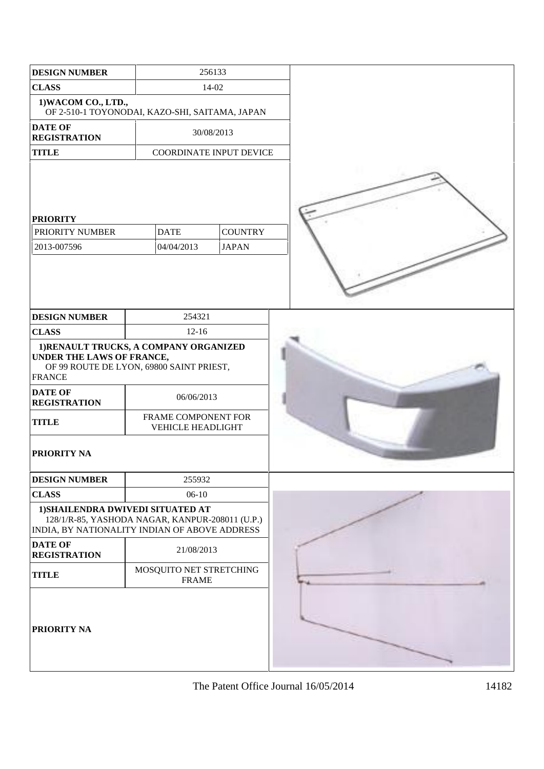| <b>DESIGN NUMBER</b>                                                                | 256133                                                                                                                                |  |
|-------------------------------------------------------------------------------------|---------------------------------------------------------------------------------------------------------------------------------------|--|
| <b>CLASS</b>                                                                        | 14-02                                                                                                                                 |  |
| 1) WACOM CO., LTD.,                                                                 | OF 2-510-1 TOYONODAI, KAZO-SHI, SAITAMA, JAPAN                                                                                        |  |
| <b>DATE OF</b><br><b>REGISTRATION</b>                                               | 30/08/2013                                                                                                                            |  |
| <b>TITLE</b>                                                                        | COORDINATE INPUT DEVICE                                                                                                               |  |
| <b>PRIORITY</b><br>PRIORITY NUMBER<br>2013-007596                                   | <b>DATE</b><br><b>COUNTRY</b><br>04/04/2013<br><b>JAPAN</b>                                                                           |  |
| <b>DESIGN NUMBER</b>                                                                | 254321                                                                                                                                |  |
| <b>CLASS</b>                                                                        | $12 - 16$                                                                                                                             |  |
| UNDER THE LAWS OF FRANCE,<br><b>FRANCE</b><br><b>DATE OF</b><br><b>REGISTRATION</b> | 1) RENAULT TRUCKS, A COMPANY ORGANIZED<br>OF 99 ROUTE DE LYON, 69800 SAINT PRIEST,<br>06/06/2013                                      |  |
| <b>TITLE</b>                                                                        | FRAME COMPONENT FOR<br><b>VEHICLE HEADLIGHT</b>                                                                                       |  |
| <b>PRIORITY NA</b>                                                                  |                                                                                                                                       |  |
| <b>DESIGN NUMBER</b>                                                                | 255932                                                                                                                                |  |
| <b>CLASS</b>                                                                        | $06-10$                                                                                                                               |  |
|                                                                                     | 1) SHAILENDRA DWIVEDI SITUATED AT<br>128/1/R-85, YASHODA NAGAR, KANPUR-208011 (U.P.)<br>INDIA, BY NATIONALITY INDIAN OF ABOVE ADDRESS |  |
| <b>DATE OF</b><br><b>REGISTRATION</b>                                               | 21/08/2013                                                                                                                            |  |
| <b>TITLE</b>                                                                        | MOSQUITO NET STRETCHING<br><b>FRAME</b>                                                                                               |  |
| <b>PRIORITY NA</b>                                                                  |                                                                                                                                       |  |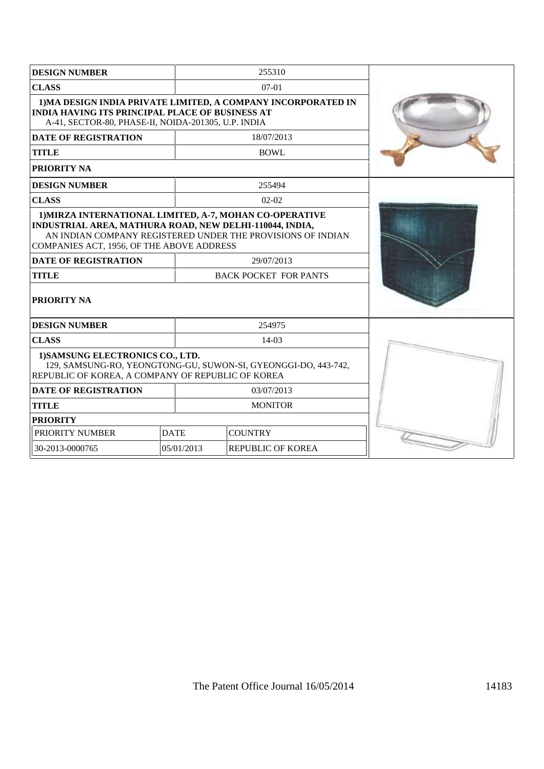| <b>DESIGN NUMBER</b>                                                                                                                                                                                                           |             | 255310                       |  |
|--------------------------------------------------------------------------------------------------------------------------------------------------------------------------------------------------------------------------------|-------------|------------------------------|--|
| <b>CLASS</b>                                                                                                                                                                                                                   |             | $07-01$                      |  |
| 1) MA DESIGN INDIA PRIVATE LIMITED, A COMPANY INCORPORATED IN<br><b>INDIA HAVING ITS PRINCIPAL PLACE OF BUSINESS AT</b><br>A-41, SECTOR-80, PHASE-II, NOIDA-201305, U.P. INDIA                                                 |             |                              |  |
| <b>DATE OF REGISTRATION</b>                                                                                                                                                                                                    |             | 18/07/2013                   |  |
| <b>TITLE</b>                                                                                                                                                                                                                   |             | BOWL                         |  |
| <b>PRIORITY NA</b>                                                                                                                                                                                                             |             |                              |  |
| <b>DESIGN NUMBER</b>                                                                                                                                                                                                           |             | 255494                       |  |
| <b>CLASS</b>                                                                                                                                                                                                                   |             | $02 - 02$                    |  |
| 1) MIRZA INTERNATIONAL LIMITED, A-7, MOHAN CO-OPERATIVE<br>INDUSTRIAL AREA, MATHURA ROAD, NEW DELHI-110044, INDIA,<br>AN INDIAN COMPANY REGISTERED UNDER THE PROVISIONS OF INDIAN<br>COMPANIES ACT, 1956, OF THE ABOVE ADDRESS |             |                              |  |
| <b>DATE OF REGISTRATION</b>                                                                                                                                                                                                    |             | 29/07/2013                   |  |
| <b>TITLE</b>                                                                                                                                                                                                                   |             | <b>BACK POCKET FOR PANTS</b> |  |
| <b>PRIORITY NA</b>                                                                                                                                                                                                             |             |                              |  |
| <b>DESIGN NUMBER</b>                                                                                                                                                                                                           |             | 254975                       |  |
| <b>CLASS</b>                                                                                                                                                                                                                   |             | $14-03$                      |  |
| 1) SAMSUNG ELECTRONICS CO., LTD.<br>129, SAMSUNG-RO, YEONGTONG-GU, SUWON-SI, GYEONGGI-DO, 443-742,<br>REPUBLIC OF KOREA, A COMPANY OF REPUBLIC OF KOREA                                                                        |             |                              |  |
| <b>DATE OF REGISTRATION</b><br>03/07/2013                                                                                                                                                                                      |             |                              |  |
| <b>TITLE</b>                                                                                                                                                                                                                   |             | <b>MONITOR</b>               |  |
| <b>PRIORITY</b>                                                                                                                                                                                                                |             |                              |  |
| PRIORITY NUMBER                                                                                                                                                                                                                | <b>DATE</b> | <b>COUNTRY</b>               |  |
| 30-2013-0000765                                                                                                                                                                                                                | 05/01/2013  | <b>REPUBLIC OF KOREA</b>     |  |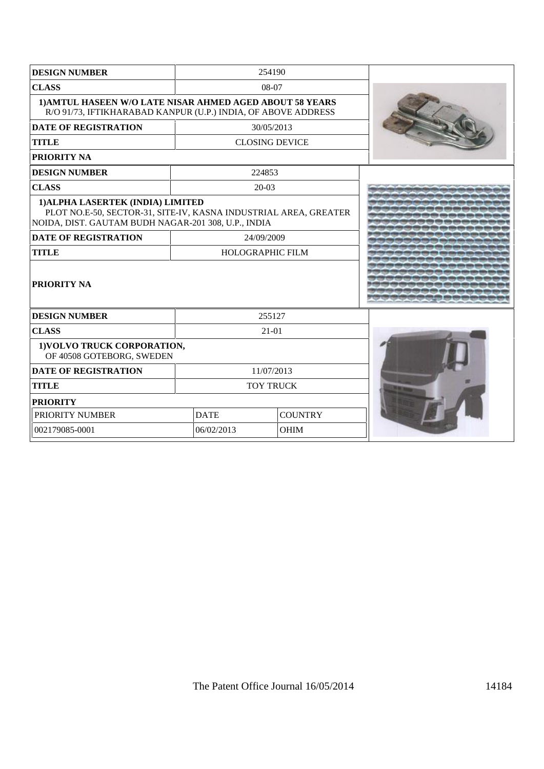| <b>DESIGN NUMBER</b>                                                                                                                                         |                           | 254190                |  |
|--------------------------------------------------------------------------------------------------------------------------------------------------------------|---------------------------|-----------------------|--|
| <b>CLASS</b>                                                                                                                                                 | 08-07                     |                       |  |
| 1) AMTUL HASEEN W/O LATE NISAR AHMED AGED ABOUT 58 YEARS<br>R/O 91/73, IFTIKHARABAD KANPUR (U.P.) INDIA, OF ABOVE ADDRESS                                    |                           |                       |  |
| <b>DATE OF REGISTRATION</b>                                                                                                                                  |                           | 30/05/2013            |  |
| <b>TITLE</b>                                                                                                                                                 |                           | <b>CLOSING DEVICE</b> |  |
| <b>PRIORITY NA</b>                                                                                                                                           |                           |                       |  |
| <b>DESIGN NUMBER</b>                                                                                                                                         |                           | 224853                |  |
| <b>CLASS</b>                                                                                                                                                 |                           | $20-03$               |  |
| 1) ALPHA LASERTEK (INDIA) LIMITED<br>PLOT NO.E-50, SECTOR-31, SITE-IV, KASNA INDUSTRIAL AREA, GREATER<br>NOIDA, DIST. GAUTAM BUDH NAGAR-201 308, U.P., INDIA |                           |                       |  |
| <b>DATE OF REGISTRATION</b>                                                                                                                                  |                           | 24/09/2009            |  |
| <b>TITLE</b>                                                                                                                                                 | HOLOGRAPHIC FILM          |                       |  |
| <b>PRIORITY NA</b>                                                                                                                                           |                           |                       |  |
| <b>DESIGN NUMBER</b>                                                                                                                                         | 255127                    |                       |  |
| <b>CLASS</b>                                                                                                                                                 |                           | $21 - 01$             |  |
| 1) VOLVO TRUCK CORPORATION,<br>OF 40508 GOTEBORG, SWEDEN                                                                                                     |                           |                       |  |
| <b>DATE OF REGISTRATION</b>                                                                                                                                  | 11/07/2013                |                       |  |
| <b>TITLE</b>                                                                                                                                                 | <b>TOY TRUCK</b>          |                       |  |
| <b>PRIORITY</b>                                                                                                                                              |                           |                       |  |
| PRIORITY NUMBER                                                                                                                                              | <b>DATE</b>               | <b>COUNTRY</b>        |  |
| 002179085-0001                                                                                                                                               | 06/02/2013<br><b>OHIM</b> |                       |  |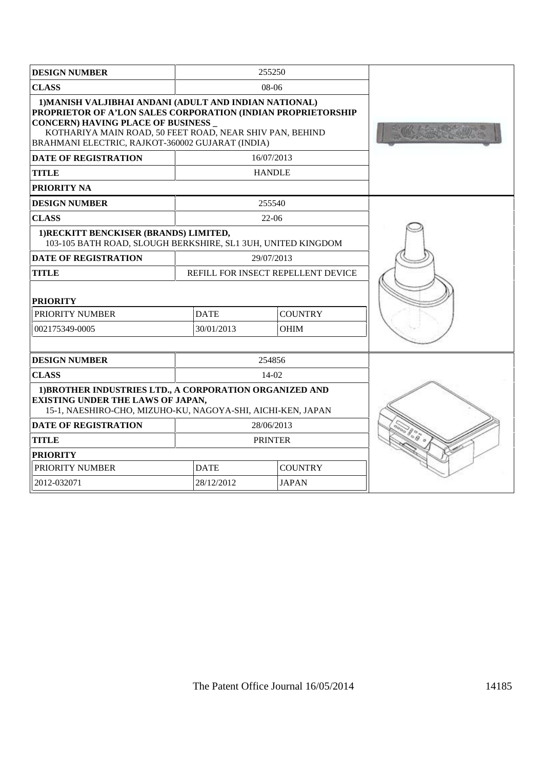| <b>DESIGN NUMBER</b>                                                                                                                                                                                                                                                                       |                            | 255250                             |  |
|--------------------------------------------------------------------------------------------------------------------------------------------------------------------------------------------------------------------------------------------------------------------------------------------|----------------------------|------------------------------------|--|
| <b>CLASS</b>                                                                                                                                                                                                                                                                               |                            | $08-06$                            |  |
| 1) MANISH VALJIBHAI ANDANI (ADULT AND INDIAN NATIONAL)<br><b>PROPRIETOR OF A'LON SALES CORPORATION (INDIAN PROPRIETORSHIP</b><br><b>CONCERN) HAVING PLACE OF BUSINESS_</b><br>KOTHARIYA MAIN ROAD, 50 FEET ROAD, NEAR SHIV PAN, BEHIND<br>BRAHMANI ELECTRIC, RAJKOT-360002 GUJARAT (INDIA) |                            |                                    |  |
| <b>DATE OF REGISTRATION</b>                                                                                                                                                                                                                                                                |                            | 16/07/2013                         |  |
| <b>TITLE</b>                                                                                                                                                                                                                                                                               |                            | <b>HANDLE</b>                      |  |
| <b>PRIORITY NA</b>                                                                                                                                                                                                                                                                         |                            |                                    |  |
| <b>DESIGN NUMBER</b>                                                                                                                                                                                                                                                                       |                            | 255540                             |  |
| <b>CLASS</b>                                                                                                                                                                                                                                                                               |                            | $22-06$                            |  |
| 1) RECKITT BENCKISER (BRANDS) LIMITED,<br>103-105 BATH ROAD, SLOUGH BERKSHIRE, SL1 3UH, UNITED KINGDOM                                                                                                                                                                                     |                            |                                    |  |
| <b>DATE OF REGISTRATION</b>                                                                                                                                                                                                                                                                |                            | 29/07/2013                         |  |
| <b>TITLE</b>                                                                                                                                                                                                                                                                               |                            | REFILL FOR INSECT REPELLENT DEVICE |  |
| <b>PRIORITY</b>                                                                                                                                                                                                                                                                            |                            |                                    |  |
| PRIORITY NUMBER                                                                                                                                                                                                                                                                            | <b>DATE</b>                | <b>COUNTRY</b>                     |  |
| 002175349-0005                                                                                                                                                                                                                                                                             | 30/01/2013<br>OHIM         |                                    |  |
|                                                                                                                                                                                                                                                                                            |                            |                                    |  |
| <b>DESIGN NUMBER</b>                                                                                                                                                                                                                                                                       |                            | 254856                             |  |
| <b>CLASS</b>                                                                                                                                                                                                                                                                               |                            | $14-02$                            |  |
| 1) BROTHER INDUSTRIES LTD., A CORPORATION ORGANIZED AND<br><b>EXISTING UNDER THE LAWS OF JAPAN,</b><br>15-1, NAESHIRO-CHO, MIZUHO-KU, NAGOYA-SHI, AICHI-KEN, JAPAN                                                                                                                         |                            |                                    |  |
| <b>DATE OF REGISTRATION</b>                                                                                                                                                                                                                                                                |                            | 28/06/2013                         |  |
| <b>TITLE</b>                                                                                                                                                                                                                                                                               |                            | <b>PRINTER</b>                     |  |
| <b>PRIORITY</b>                                                                                                                                                                                                                                                                            |                            |                                    |  |
| PRIORITY NUMBER                                                                                                                                                                                                                                                                            | <b>DATE</b>                | <b>COUNTRY</b>                     |  |
| 2012-032071                                                                                                                                                                                                                                                                                | 28/12/2012<br><b>JAPAN</b> |                                    |  |